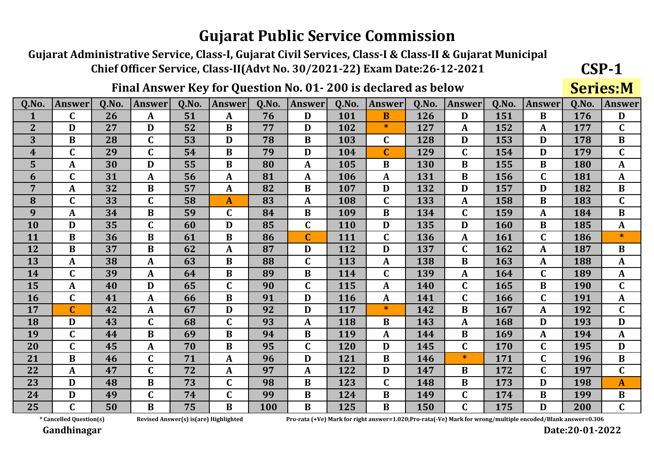Guiarat Administrative Service, Class-I, Guiarat Civil Services, Class-I & Class-II & Guiarat Municipal Chief Officer Service, Class-II(Advt No. 30/2021-22) Exam Date:26-12-2021

## Final Answer Key for Question No. 01-200 is declared as below

 $Q.No.$ Q.No. Answerl  $Q.No.$  $Q.No.$ Q.No. Q.No.  $0.No$ **Answer** Answer Answer **Answer Answer Answer** Q.No. Answer 51 76 151  $\mathbf{C}$ 26 101 126 176  $\mathbf{1}$  $\mathbf{D}$  $\overline{\mathbf{R}}$  $\mathbf{D}$  $\mathbf{R}$ D  $\mathbf{A}$  $\mathbf{A}$  $\overline{2}$  $\overline{\mathbf{D}}$  $\overline{27}$  $\overline{D}$  $\overline{52}$  $77$  $\overline{D}$  $\overline{\ast}$  $\overline{127}$  $\overline{152}$ 177  $\overline{\mathsf{C}}$  $\mathbf{B}$ 102  $\mathbf{A}$  $\mathbf{A}$ 3 28  $\mathbf C$ 53 78 103 128 D 153 D 178  $\bf{B}$  $\bf{B}$ D  $\bf{B}$  $\mathbf C$  $\overline{\mathbf{4}}$  $\mathbf C$ 29  $\mathbf{C}$ 54  $\mathbf{B}$ 79 D 104  $\mathbf C$ 129  $\mathbf{C}$ 154 D 179  $\mathbf C$ 5 30 55 105  $\bf{B}$ 155  $\bf{B}$  $\mathbf{A}$ D  $\bf{B}$ 80  $\mathbf{A}$  $\bf{B}$ 130 180  $\mathbf{A}$ 31 6  $\mathbf C$  $\mathbf{A}$ 56  $\mathbf{A}$ 81 106  $\mathbf{A}$ 131  $\overline{\mathbf{B}}$ 156  $\mathbf{C}$ 181  $\mathbf{A}$  $\mathbf{A}$  $\overline{32}$  $\overline{57}$  $\overline{R2}$  $132$ 157  $\overline{7}$  $\mathbf{A}$  $\overline{\mathbf{B}}$  $\mathbf{A}$  $\mathbf{R}$ 107  $\mathbf{D}$  $\mathbf D$  $\mathbf{D}$ 182  $\overline{\mathbf{R}}$ 33  $\mathbf{C}$ 58 83  $\mathbf{C}$ 133 183 8  $\mathbf C$ 108 158  $\bf{B}$  $\mathbf{C}$  $\mathbf{A}$  $\mathbf{A}$  $\mathbf{A}$ 34 59 84 134 159 9  $\mathbf{A}$ B  $\mathbf C$  $\bf{B}$ 109  $\bf{B}$  $\mathbf{C}$  $\mathbf{A}$ 184  $\bf{B}$ **10** 35  $\mathbf{C}$ D 85  $\mathbf C$ 135 160  $\bf{B}$ 185 D 60 110 D D A  $\mathbf C$ **11** B 36 B 61  $\bf{B}$ 86  $\overline{C}$ 111 136 161  $\mathbf C$ 186  $\ast$  $\mathbf{A}$ 12 37 87 112 137 162  $\overline{\mathbf{B}}$  $\overline{\mathbf{B}}$ 62  $\mathbf{D}$  $\mathbf{D}$  $\mathbf{C}$ 187  $\mathbf{A}$  $\mathbf{A}$  $\mathbf R$ 13 38 63 88 113 163  $\mathbf{B}$  $\mathbf{C}$  $\mathbf{A}$ 138  $\mathbf{B}$ 188  $\mathbf{A}$  $\mathbf{A}$  $\mathbf{A}$  $\mathbf{A}$ 14  $\mathbf{C}$ 39 64 89 114  $\mathbf{C}$ 139 164  $\mathbf{C}$ 189  $\bf{B}$  $\bf{B}$  $\mathbf{A}$  $\mathbf{A}$  $\mathbf{A}$ 15 65 165  $\mathbf{A}$ 40  $\mathbf D$  $\mathbf{C}$ 90  $\mathbf{C}$ 115  $\mathbf{A}$ 140  $\mathbf{C}$  $\mathbf{B}$ 190  $\mathbf{C}$ **16**  $\mathbf C$ 41 66 B 91 D 116 141  $\mathbf{C}$ 166  $\mathbf C$ 191  $\mathbf{A}$  $\mathbf{A}$ A 17  $\mathbf{C}$ 42  $\mathbf{A}$ 67  $\mathbf{D}$ 92  $\mathbf{D}$ 117  $\ast$ 142  $\mathbf{R}$ 167  $\mathbf{A}$ 192  $\mathbf{C}$ 43  $\overline{C}$  $\overline{C}$ 93 18 D 68 118  $\bf{B}$ 143  $\mathbf{A}$ 168 D 193 D  $\mathbf{A}$ 19  $\mathbf C$ 44  $\overline{B}$ 69  $\bf{B}$ 94 119 169  $\bf{B}$ B  $\mathbf{A}$  $\mathbf{A}$ 144 194  $\mathbf{A}$ 20  $\mathbf C$ 45 70  $\mathbf{B}$ 95  $\mathbf{C}$ 120 145  $\mathbf{C}$ 170  $\mathbf{C}$ 195 D  $\mathbf{D}$  $\mathbf{A}$ 21  $\mathbf{C}$  $71$ 96 121  $\overline{B}$  $\ast$ 171  $\mathbf C$ B 46  $\boldsymbol{A}$  $\mathbf{D}$ 146 196  $\bf{B}$ 22 47  $\mathbf{C}$ 72 97 122 147 172  $\mathbf{C}$ 197  $\mathbf{C}$  $\mathbf{A}$  $\mathbf{A}$  $\mathbf{A}$  $\mathbf{D}$  $\mathbf{R}$ 23 48  $\overline{\mathbf{R}}$ 73  $\mathbf{C}$ 98  $\mathbf{R}$ 123  $\mathbf C$  $\overline{\mathbf{B}}$ 173  $\mathbf{D}$ 198  $\mathbf D$ 148  $\mathbf{A}$  $\mathbf C$ 74 99 24 D 49  $\mathbf C$  $\bf{B}$ 124  $\bf{B}$ 149  $\mathbf{C}$ 174  $\bf{B}$ 199  $\bf{B}$ 25  $\mathbf{C}$ 50 75 125  $\mathbf{C}$ 175  $\mathbf{C}$ B  $\bf{B}$ 100  $\bf{B}$  $\bf{B}$ 150 D 200

\* Cancelled Question(s)

Revised Answer(s) is(are) Highlighted

Pro-rata (+Ve) Mark for right answer=1.020;Pro-rata(-Ve) Mark for wrong/multiple encoded/Blank answer=0.306

Gandhinagar

Date:20-01-2022

 $CSP-1$ 

**Series:M**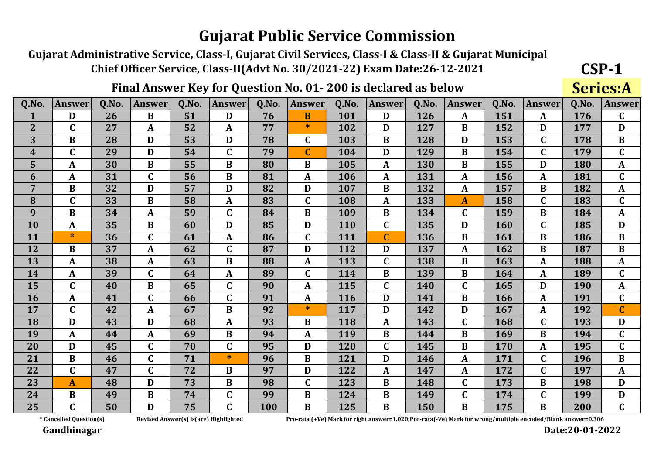Gujarat Administrative Service, Class-I, Gujarat Civil Services, Class-I & Class-II & Gujarat Municipal Chief Officer Service, Class-II(Advt No. 30/2021-22) Exam Date:26-12-2021

## Final Answer Key for Question No. 01-200 is declared as below

| Q.No.          | <b>Answer</b>    | 0.No. | <b>Answer</b> | Q.No. | <b>Answer</b>    | 0.No.      | <b>Answer</b> | Q.No.      | <b>Answer</b>    | 0.No. | <b>Answer</b> | <b>O.No.</b> | <b>Answer</b>    | 0.No. | <b>Answer</b>  |
|----------------|------------------|-------|---------------|-------|------------------|------------|---------------|------------|------------------|-------|---------------|--------------|------------------|-------|----------------|
| 1              | D                | 26    | $\bf{B}$      | 51    | D                | 76         | <b>B</b>      | 101        | D                | 126   | A             | 151          | $\boldsymbol{A}$ | 176   | $\mathbf C$    |
| $\overline{2}$ | $\mathbf C$      | 27    | A             | 52    | $\boldsymbol{A}$ | 77         | $\ast$        | 102        | D                | 127   | B             | 152          | D                | 177   | D              |
| 3              | B                | 28    | D             | 53    | D                | 78         | C             | 103        | B                | 128   | D             | 153          | $\mathbf C$      | 178   | $\bf{B}$       |
| 4              | $\mathbf C$      | 29    | D             | 54    | $\mathbf C$      | 79         |               | 104        | D                | 129   | B             | 154          | $\mathbf C$      | 179   | $\mathbf C$    |
| 5              | A                | 30    | B             | 55    | B                | 80         | B             | 105        | A                | 130   | B             | 155          | D                | 180   | $\mathbf{A}$   |
| 6              | A                | 31    | C             | 56    | B                | 81         | A             | 106        | A                | 131   | A             | 156          | $\boldsymbol{A}$ | 181   | $\mathbf C$    |
| 7              | B                | 32    | D             | 57    | D                | 82         | D             | 107        | $\bf{B}$         | 132   | A             | 157          | B                | 182   | A              |
| 8              | $\mathbf C$      | 33    | $\bf{B}$      | 58    | A                | 83         | $\mathbf C$   | 108        | $\boldsymbol{A}$ | 133   | $\mathbf{A}$  | 158          | $\mathbf C$      | 183   | $\mathbf C$    |
| 9              | $\bf{B}$         | 34    | A             | 59    | $\mathbf C$      | 84         | $\bf{B}$      | 109        | B                | 134   | $\mathbf C$   | 159          | B                | 184   | A              |
| 10             | A                | 35    | B             | 60    | D                | 85         | D             | 110        | $\mathbf C$      | 135   | D             | 160          | $\mathbf C$      | 185   | D              |
| 11             | ∗                | 36    | C             | 61    | $\mathbf{A}$     | 86         | $\mathbf C$   | 111        | $\mathbf C$      | 136   | B             | 161          | B                | 186   | B              |
| 12             | $\bf{B}$         | 37    | A             | 62    | $\mathbf C$      | 87         | D             | 112        | D                | 137   | A             | 162          | B                | 187   | $\bf{B}$       |
| 13             | A                | 38    | A             | 63    | B                | 88         | A             | 113        | $\mathbf C$      | 138   | B             | 163          | $\mathbf{A}$     | 188   | $\mathbf{A}$   |
| 14             | A                | 39    | $\mathbf C$   | 64    | A                | 89         | $\mathbf C$   | 114        | B                | 139   | B             | 164          | A                | 189   | $\mathbf C$    |
| 15             | $\mathbf C$      | 40    | $\bf{B}$      | 65    | $\mathbf C$      | 90         | A             | 115        | $\mathbf C$      | 140   | C             | 165          | D                | 190   | $\mathbf{A}$   |
| 16             | A                | 41    | $\mathbf C$   | 66    | $\mathbf C$      | 91         | A             | <b>116</b> | D                | 141   | B             | 166          | $\mathbf{A}$     | 191   | $\mathbf C$    |
| 17             | $\mathbf C$      | 42    | A             | 67    | B                | 92         | $\ast$        | 117        | D                | 142   | D             | 167          | $\boldsymbol{A}$ | 192   | $\overline{C}$ |
| 18             | D                | 43    | D             | 68    | A                | 93         | B             | 118        | A                | 143   | C             | 168          | $\mathbf C$      | 193   | D              |
| 19             | A                | 44    | A             | 69    | B                | 94         | A             | 119        | B                | 144   | B             | 169          | B                | 194   | $\mathbf C$    |
| 20             | D                | 45    | C             | 70    | $\mathbf C$      | 95         | D             | 120        | $\mathbf C$      | 145   | B             | 170          | $\boldsymbol{A}$ | 195   | $\mathbf C$    |
| 21             | $\bf{B}$         | 46    | $\mathbf C$   | 71    | $\ast$           | 96         | $\bf{B}$      | 121        | D                | 146   | A             | 171          | $\mathbf C$      | 196   | B              |
| 22             | $\mathbf C$      | 47    | $\mathbf C$   | 72    | B                | 97         | D             | 122        | A                | 147   | A             | 172          | $\mathbf C$      | 197   | A              |
| 23             | $\boldsymbol{A}$ | 48    | D             | 73    | $\bf{B}$         | 98         | $\mathbf C$   | 123        | B                | 148   | $\mathbf C$   | 173          | B                | 198   | D              |
| 24             | B                | 49    | B             | 74    | $\mathbf C$      | 99         | B             | 124        | B                | 149   | $\mathbf C$   | 174          | $\mathbf C$      | 199   | D              |
| 25             | $\mathbf C$      | 50    | D             | 75    | $\mathbf C$      | <b>100</b> | B             | 125        | B                | 150   | B             | 175          | $\bf{B}$         | 200   | $\mathbf C$    |

\* Cancelled Question(s)

Revised Answer(s) is(are) Highlighted

Pro-rata (+Ve) Mark for right answer=1.020;Pro-rata(-Ve) Mark for wrong/multiple encoded/Blank answer=0.306

Gandhinagar

 $CSP-1$ 

**Series:A**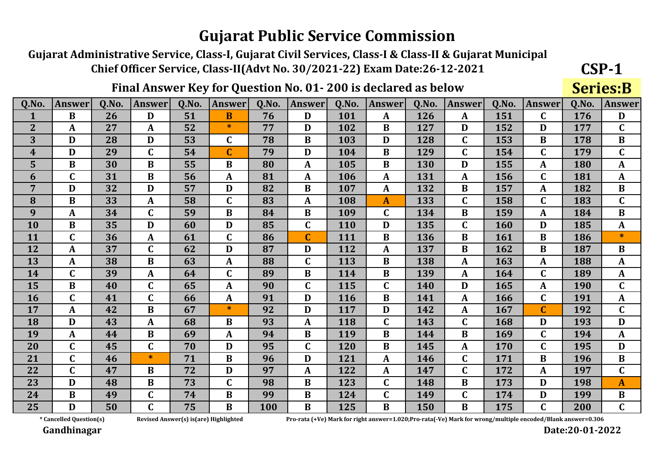Gujarat Administrative Service, Class-I, Gujarat Civil Services, Class-I & Class-II & Gujarat Municipal Chief Officer Service, Class-II(Advt No. 30/2021-22) Exam Date:26-12-2021

## Final Answer Key for Question No. 01-200 is declared as below

| Q.No.          | Answer      | 0.No. | <b>Answer</b> | Q.No. | <b>Answer</b>    | 0.No. | <b>Answer</b> | 0.No. | <b>Answer</b>    | 0.No. | <b>Answer</b> | 0.No. | <b>Answer</b>    | 0.No. | <b>Answer</b> |
|----------------|-------------|-------|---------------|-------|------------------|-------|---------------|-------|------------------|-------|---------------|-------|------------------|-------|---------------|
| $\mathbf{1}$   | $\bf{B}$    | 26    | D             | 51    | $\mathbf{B}$     | 76    | D             | 101   | A                | 126   | A             | 151   | $\mathbf C$      | 176   | D             |
| 2 <sub>1</sub> | A           | 27    | A             | 52    | $\ast$           | 77    | D             | 102   | B                | 127   | D             | 152   | D                | 177   | $\mathbf C$   |
| $\overline{3}$ | D           | 28    | D             | 53    | $\mathbf C$      | 78    | B             | 103   | D                | 128   | $\mathbf C$   | 153   | B                | 178   | B             |
| 4              | D           | 29    | $\mathbf C$   | 54    | $\mathbf C$      | 79    | D             | 104   | $\bf{B}$         | 129   | $\mathbf C$   | 154   | $\mathbf C$      | 179   | $\mathbf C$   |
| 5 <sup>5</sup> | B           | 30    | B             | 55    | B                | 80    | A             | 105   | $\bf{B}$         | 130   | D             | 155   | $\mathbf{A}$     | 180   | $\mathbf{A}$  |
| 6              | $\mathbf C$ | 31    | B             | 56    | $\boldsymbol{A}$ | 81    | A             | 106   | A                | 131   | A             | 156   | $\mathbf C$      | 181   | $\mathbf{A}$  |
| 7              | D           | 32    | D             | 57    | D                | 82    | B             | 107   | $\boldsymbol{A}$ | 132   | B             | 157   | $\boldsymbol{A}$ | 182   | $\bf{B}$      |
| 8              | $\bf{B}$    | 33    | A             | 58    | $\mathbf C$      | 83    | A             | 108   | $\boldsymbol{A}$ | 133   | $\mathbf C$   | 158   | $\mathbf C$      | 183   | $\mathbf C$   |
| 9              | A           | 34    | $\mathbf C$   | 59    | B                | 84    | $\bf{B}$      | 109   | $\mathbf C$      | 134   | B             | 159   | $\mathbf{A}$     | 184   | $\bf{B}$      |
| <b>10</b>      | B           | 35    | D             | 60    | D                | 85    | $\mathbf C$   | 110   | D                | 135   | $\mathbf C$   | 160   | D                | 185   | A             |
| 11             | $\mathbf C$ | 36    | A             | 61    | $\mathbf C$      | 86    |               | 111   | $\bf{B}$         | 136   | B             | 161   | B                | 186   | $\ast$        |
| 12             | A           | 37    | $\mathbf C$   | 62    | D                | 87    | D             | 112   | A                | 137   | B             | 162   | B                | 187   | $\bf{B}$      |
| 13             | A           | 38    | B             | 63    | A                | 88    | $\mathbf C$   | 113   | B                | 138   | A             | 163   | A                | 188   | A             |
| 14             | $\mathbf C$ | 39    | A             | 64    | $\mathbf C$      | 89    | B             | 114   | $\bf{B}$         | 139   | A             | 164   | $\mathbf C$      | 189   | $\mathbf{A}$  |
| 15             | $\bf{B}$    | 40    | $\mathbf C$   | 65    | A                | 90    | $\mathbf C$   | 115   | $\mathbf C$      | 140   | D             | 165   | $\boldsymbol{A}$ | 190   | $\mathbf C$   |
| <b>16</b>      | $\mathbf C$ | 41    | $\mathbf C$   | 66    | $\mathbf{A}$     | 91    | D             | 116   | B                | 141   | A             | 166   | $\mathbf C$      | 191   | $\mathbf{A}$  |
| 17             | A           | 42    | B             | 67    | $\ast$           | 92    | D             | 117   | D                | 142   | A             | 167   | $\mathbf C$      | 192   | $\mathbf C$   |
| 18             | D           | 43    | A             | 68    | $\bf{B}$         | 93    | A             | 118   | $\mathbf C$      | 143   | $\mathbf C$   | 168   | D                | 193   | D             |
| 19             | $\mathbf A$ | 44    | $\bf{B}$      | 69    | $\boldsymbol{A}$ | 94    | $\bf{B}$      | 119   | $\bf{B}$         | 144   | B             | 169   | $\mathbf C$      | 194   | $\mathbf{A}$  |
| 20             | $\mathbf C$ | 45    | $\mathbf C$   | 70    | D                | 95    | $\mathbf C$   | 120   | $\bf{B}$         | 145   | A             | 170   | $\mathbf C$      | 195   | D             |
| 21             | $\mathbf C$ | 46    | $\ast$        | 71    | B                | 96    | D             | 121   | $\mathbf{A}$     | 146   | $\mathbf C$   | 171   | $\bf{B}$         | 196   | $\bf{B}$      |
| 22             | $\mathbf C$ | 47    | $\bf{B}$      | 72    | D                | 97    | A             | 122   | $\boldsymbol{A}$ | 147   | $\mathbf C$   | 172   | $\boldsymbol{A}$ | 197   | $\mathbf C$   |
| 23             | D           | 48    | B             | 73    | $\mathbf C$      | 98    | $\bf{B}$      | 123   | $\mathbf C$      | 148   | B             | 173   | D                | 198   | $\mathbf{A}$  |
| 24             | B           | 49    | $\mathbf C$   | 74    | B                | 99    | B             | 124   | $\mathbf C$      | 149   | $\mathbf C$   | 174   | D                | 199   | B             |
| 25             | D           | 50    | $\mathsf{C}$  | 75    | $\bf{B}$         | 100   | B             | 125   | $\overline{B}$   | 150   | B             | 175   | $\mathbf C$      | 200   | $\mathbf C$   |

\* Cancelled Question(s)

Revised Answer(s) is(are) Highlighted

Pro-rata (+Ve) Mark for right answer=1.020;Pro-rata(-Ve) Mark for wrong/multiple encoded/Blank answer=0.306

Gandhinagar

 $CSP-1$ 

**Series:B**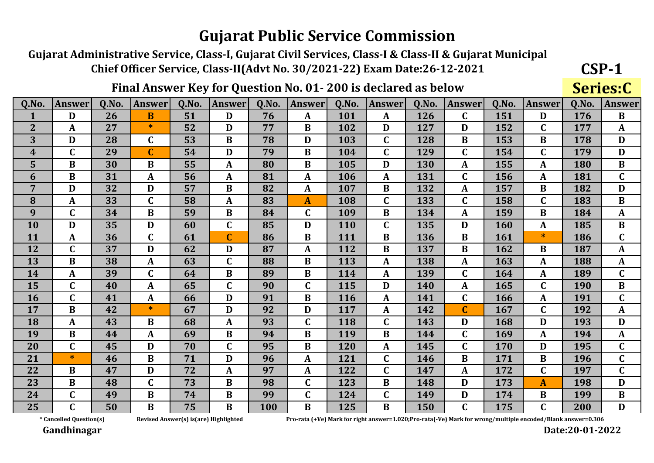Guiarat Administrative Service, Class-I, Guiarat Civil Services, Class-I & Class-II & Guiarat Municipal Chief Officer Service, Class-II(Advt No. 30/2021-22) Exam Date:26-12-2021

## Final Answer Key for Question No. 01-200 is declared as below

 $Q.No.$ Answer Q.No. Answerl  $Q.No.$  $Q.No.$ Q.No. Q.No. Q.No.  $0.No$ **Answer** Answer **Answer Answer Answer** Answer 51 76 151  $\mathbf D$ 26 101 126 176  $\overline{\mathbf{R}}$  $\mathbf{1}$  $\overline{\mathbf{R}}$  $\mathbf{D}$  $\mathbf{C}$  $\mathbf{D}$  $\mathbf{A}$  $\mathbf{A}$  $\overline{2}$  $\overline{27}$  $\overline{\ast}$  $\overline{52}$  $77$  $\overline{127}$  $\overline{D}$  $\overline{152}$ 177  $\mathbf{D}$  $\mathbf{B}$ 102  $\mathbf{D}$  $\mathbf C$  $\mathbf{A}$  $\mathbf{A}$ 3 28 53 78 D 103  $\mathbf{C}$ 128 153 178 D D  $\mathbf C$  $\bf{B}$  $\bf{B}$  $\bf{B}$  $\overline{\mathbf{4}}$  $\mathbf C$ 29  $\mathbf{C}$ 54  $\mathbf{D}$ 79  $\bf{B}$ 104  $\mathbf C$ 129  $\mathbf C$ 154  $\mathbf C$ 179 D 5  $\bf{B}$ 30 55 80  $\bf{B}$ 105 155  $\bf{B}$ B  $\mathbf{A}$ D 130  $\mathbf{A}$  $\mathbf{A}$ 180 31  $6\overline{6}$  $\overline{\mathbf{B}}$  $\mathbf{A}$ 56  $\mathbf{A}$ 81  $\mathbf{A}$ 106  $\overline{A}$ 131  $\mathbf{C}$ 156  $\mathbf{A}$ 181  $\mathbf{C}$  $\overline{7}$  $\overline{32}$  $\overline{57}$  $\overline{R2}$  $132$ 157  $\mathbf{D}$  $\mathbf D$  $\mathbf{R}$  $\mathbf{A}$ 107  $\mathbf{R}$  $\mathbf{A}$  $\overline{\mathbf{B}}$ 182 D 33  $\mathbf{C}$ 58 83  $\mathbf{C}$ 133 183 8 108  $\mathbf{C}$ 158  $\mathbf{C}$  $\bf{B}$  $\mathbf{A}$  $\mathbf{A}$  $\mathbf{A}$ 34 59 84 134 159  $\mathbf q$  $\mathbf C$ B  $\bf{B}$  $\mathbf C$ 109  $\bf{B}$  $\mathbf{A}$  $\bf{B}$ 184  $\mathbf{A}$ **10** D 35 D  $\mathbf C$ 85 D  $\mathbf C$ 135 160 185 60 110 D  $\mathbf{A}$ B  $\mathbf{C}$ **11**  $\mathbf{A}$ 36 61  $\mathbf C$ 86  $\bf{B}$ 111  $\bf{B}$ 136 B 161  $\ast$ 186  $\mathbf{C}$ 12 37 62 87 112 137 162  $\mathbf C$  $\mathbf D$  $\mathbf{D}$  $\mathbf{R}$  $\overline{\mathbf{B}}$ 187  $\mathbf{A}$  $\mathbf{R}$  $\mathbf{A}$ 13 38 63  $\mathbf{C}$ 88 113 163  $\mathbf{B}$  $\mathbf{A}$  $\mathbf{B}$ 138 188  $\mathbf{A}$  $\mathbf{A}$  $\mathbf{A}$  $\mathbf{A}$ 14 39  $\mathbf{C}$ 64 89 114 139  $\mathbf{C}$ 164 189  $\mathbf{C}$  $\bf{B}$  $\bf{B}$  $\mathbf{A}$  $\mathbf{A}$  $\mathbf{A}$ 15 65 165  $\mathbf{C}$ 40  $\mathbf{A}$  $\mathbf{C}$ 90  $\mathbf{C}$ 115  $\mathbf{D}$ 140  $\mathbf{A}$  $\mathbf{C}$ 190  $\bf{B}$ **16**  $\mathbf C$ 41 66 D 91 B 116  $\overline{A}$ 141  $\mathbf{C}$ 166  $\boldsymbol{A}$ 191  $\mathbf C$  $\mathbf{A}$ 17  $\overline{\mathbf{R}}$ 42  $\ast$ 67  $\mathbf{D}$ 92  $\mathbf{D}$ 117  $\overline{A}$ 142  $\mathcal{C}$ 167  $\mathbf{C}$ 192  $\mathbf{A}$ 43 93  $\overline{C}$  $\overline{D}$ 18  $\bf{B}$ 68  $\mathbf{A}$  $\mathbf C$ 118 143 D 168 193 D  $\mathbf{A}$ 19 44 69 94  $\bf{B}$ 119  $\overline{B}$  $\mathbf{C}$ 169 B  $\bf{B}$  $\mathbf{A}$  $\mathbf{A}$  $\mathbf{A}$ 144 194 20  $\mathbf C$ 45 70  $\mathbf{C}$ 95  $\mathbf{B}$ 120 145  $\mathbf{C}$ 170 195  $\mathbf{C}$  $\mathbf D$  $\mathbf{A}$  $\mathbf{D}$  $71$ 21  $\ast$ 121  $\mathbf C$ 171  $\mathbf{C}$ 46  $\overline{\mathbf{B}}$ D 96  $\mathbf{A}$ 146  $\mathbf{R}$  $\bf{B}$ 196 22 47 72 97 122  $\mathbf{C}$ 147 172  $\mathbf{C}$ 197  $\mathbf{C}$  $\overline{\mathbf{B}}$  $\mathbf{D}$  $\mathbf{A}$  $\mathbf{A}$  $\mathbf{A}$ 23 48  $\mathbf{C}$ 73 98  $\mathbf{C}$ 123  $\mathbf{R}$ 173 198  $\mathbf{D}$ R R 148  $\mathbf D$  $\mathbf{A}$ 74 99  $\mathbf{C}$ 24  $\mathbf C$ 49  $\bf{B}$  $\bf{B}$ 124  $\mathbf C$ 149 D 174  $\bf{B}$ 199  $\bf{B}$ 25  $\mathbf{C}$ 50 75 125 175  $\mathbf{C}$ B  $\bf{B}$ 100  $\bf{B}$  $\bf{B}$ 150  $\mathbf{C}$ 200  $\mathbf{D}$ 

\* Cancelled Question(s)

Revised Answer(s) is(are) Highlighted

Pro-rata (+Ve) Mark for right answer=1.020;Pro-rata(-Ve) Mark for wrong/multiple encoded/Blank answer=0.306

Gandhinagar

Date:20-01-2022

 $CSP-1$ 

Series:C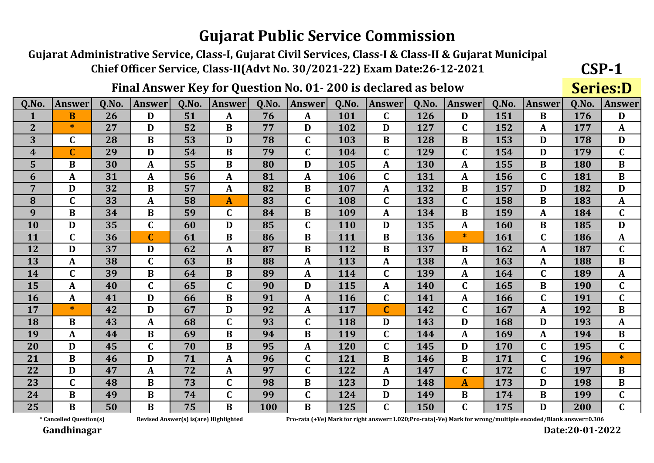Gujarat Administrative Service, Class-I, Gujarat Civil Services, Class-I & Class-II & Gujarat Municipal Chief Officer Service, Class-II(Advt No. 30/2021-22) Exam Date:26-12-2021

## Final Answer Key for Question No. 01-200 is declared as below

| Q.No.          | <b>Answer</b> | 0.No. | <b>Answer</b> | Q.No. | <b>Answer</b>    | 0.No.      | <b>Answer</b> | 0.No. | <b>Answer</b> | 0.No. | <b>Answer</b> | 0.No. | <b>Answer</b>    | Q.No. | <b>Answer</b> |
|----------------|---------------|-------|---------------|-------|------------------|------------|---------------|-------|---------------|-------|---------------|-------|------------------|-------|---------------|
| 1              | B             | 26    | D             | 51    | $\boldsymbol{A}$ | 76         | $\mathbf{A}$  | 101   | $\mathbf C$   | 126   | D             | 151   | $\bf{B}$         | 176   | D             |
| $\overline{2}$ | $\ast$        | 27    | D             | 52    | B                | 77         | D             | 102   | D             | 127   | $\mathbf C$   | 152   | A                | 177   | $\mathbf{A}$  |
| 3              | $\mathbf C$   | 28    | B             | 53    | D                | 78         | C             | 103   | B             | 128   | B             | 153   | D                | 178   | D             |
| 4              | C             | 29    | D             | 54    | $\bf{B}$         | 79         | C             | 104   | $\mathbf C$   | 129   | C             | 154   | D                | 179   | $\mathbf C$   |
| 5              | B             | 30    | A             | 55    | $\bf{B}$         | 80         | D             | 105   | A             | 130   | A             | 155   | B                | 180   | B             |
| 6              | A             | 31    | A             | 56    | A                | 81         | A             | 106   | $\mathbf C$   | 131   | A             | 156   | $\mathbf C$      | 181   | B             |
| 7              | D             | 32    | B             | 57    | $\boldsymbol{A}$ | 82         | B             | 107   | A             | 132   | $\bf{B}$      | 157   | D                | 182   | D             |
| 8              | $\mathbf C$   | 33    | A             | 58    | $\mathbf{A}$     | 83         | $\mathbf C$   | 108   | $\mathbf C$   | 133   | $\mathbf C$   | 158   | B                | 183   | $\mathbf{A}$  |
| 9              | B             | 34    | B             | 59    | $\mathbf C$      | 84         | B             | 109   | A             | 134   | B             | 159   | A                | 184   | $\mathbf C$   |
| 10             | D             | 35    | $\mathbf C$   | 60    | D                | 85         | C             | 110   | D             | 135   | $\mathbf{A}$  | 160   | B                | 185   | D             |
| 11             | $\mathbf C$   | 36    | C             | 61    | $\bf{B}$         | 86         | $\bf{B}$      | 111   | $\bf{B}$      | 136   | ∗             | 161   | $\mathbf C$      | 186   | $\mathbf{A}$  |
| 12             | D             | 37    | D             | 62    | $\boldsymbol{A}$ | 87         | $\bf{B}$      | 112   | $\bf{B}$      | 137   | B             | 162   | $\boldsymbol{A}$ | 187   | $\mathbf C$   |
| 13             | A             | 38    | $\mathbf C$   | 63    | B                | 88         | A             | 113   | A             | 138   | A             | 163   | A                | 188   | B             |
| 14             | $\mathbf C$   | 39    | $\bf{B}$      | 64    | B                | 89         | A             | 114   | $\mathbf C$   | 139   | A             | 164   | $\mathbf C$      | 189   | $\mathbf{A}$  |
| 15             | A             | 40    | $\mathbf C$   | 65    | $\mathbf C$      | 90         | D             | 115   | A             | 140   | $\mathbf C$   | 165   | $\bf{B}$         | 190   | $\mathbf C$   |
| 16             | A             | 41    | D             | 66    | B                | 91         | A             | 116   | $\mathbf C$   | 141   | A             | 166   | $\mathbf C$      | 191   | $\mathbf C$   |
| 17             | $\ast$        | 42    | D             | 67    | D                | 92         | A             | 117   | $\mathbf C$   | 142   | $\mathbf C$   | 167   | A                | 192   | B             |
| 18             | B             | 43    | A             | 68    | $\mathbf C$      | 93         | C             | 118   | D             | 143   | D             | 168   | D                | 193   | $\mathbf{A}$  |
| 19             | A             | 44    | B             | 69    | B                | 94         | $\bf{B}$      | 119   | $\mathbf C$   | 144   | A             | 169   | A                | 194   | $\bf{B}$      |
| 20             | D             | 45    | $\mathbf C$   | 70    | B                | 95         | A             | 120   | $\mathbf C$   | 145   | D             | 170   | $\mathbf C$      | 195   | $\mathbf C$   |
| 21             | $\bf{B}$      | 46    | D             | 71    | A                | 96         | $\mathbf C$   | 121   | $\bf{B}$      | 146   | B             | 171   | $\mathbf C$      | 196   | $\ast$        |
| 22             | D             | 47    | A             | 72    | A                | 97         | C             | 122   | A             | 147   | $\mathbf C$   | 172   | $\mathbf C$      | 197   | B             |
| 23             | $\mathbf C$   | 48    | $\bf{B}$      | 73    | $\mathbf C$      | 98         | $\bf{B}$      | 123   | D             | 148   | A             | 173   | D                | 198   | $\bf{B}$      |
| 24             | B             | 49    | $\bf{B}$      | 74    | $\mathbf C$      | 99         | $\mathbf C$   | 124   | D             | 149   | B             | 174   | B                | 199   | $\mathbf C$   |
| 25             | B             | 50    | B             | 75    | $\bf{B}$         | <b>100</b> | B             | 125   | $\mathbf C$   | 150   | C             | 175   | D                | 200   | $\mathbf C$   |

\* Cancelled Question(s)

Revised Answer(s) is(are) Highlighted

Pro-rata (+Ve) Mark for right answer=1.020;Pro-rata(-Ve) Mark for wrong/multiple encoded/Blank answer=0.306

Gandhinagar

 $CSP-1$ 

**Series:D**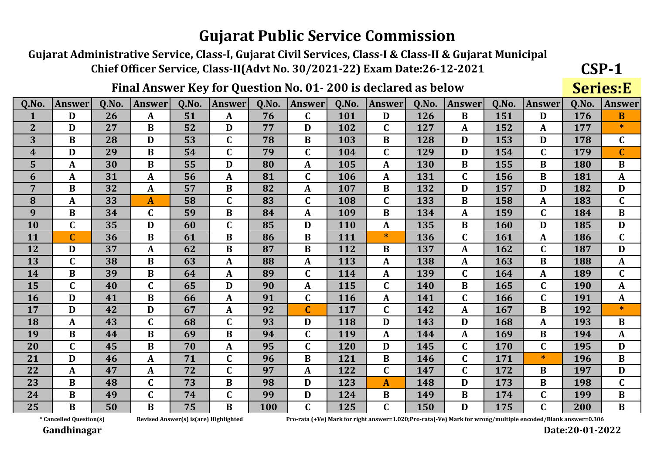Guiarat Administrative Service, Class-I, Guiarat Civil Services, Class-I & Class-II & Guiarat Municipal Chief Officer Service, Class-II(Advt No. 30/2021-22) Exam Date:26-12-2021

## Final Answer Key for Question No. 01-200 is declared as below

 $Q.No.$ Q.No. Answerl  $Q.No.$  $Q.No.$ Q.No. Q.No. Q.No.  $0.No$ **Answer** Answer Answer **Answer Answer Answer Answer**  $51$ 76 151  $\mathbf{1}$  $\mathbf D$ 26 101 126  $\overline{\mathbf{B}}$ 176  $\mathbf{C}$  $\mathbf{D}$  $\mathbf{D}$  $\overline{\mathbf{R}}$  $\mathbf{A}$  $\mathbf{A}$  $\overline{2}$  $\overline{\mathbf{D}}$  $\overline{27}$  $\overline{52}$  $77$  $\overline{D}$  $\overline{127}$  $\overline{152}$ 177  $\overline{\ast}$  $\mathbf{B}$  $\mathbf{D}$ 102  $\mathbf C$  $\mathbf{A}$  $\mathbf{A}$ 3 28 53  $\mathbf{C}$ 78 103 128 D 153 D 178  $\mathbf{C}$  $\bf{B}$ D  $\bf{B}$  $\bf{B}$  $\overline{4}$  $\mathbf D$ 29  $\overline{B}$ 54  $\mathbf C$ 79  $\mathbf C$ 104  $\mathbf C$ 129 D 154  $\mathbf C$ 179  $\mathbf{C}$ 5 30  $\bf{B}$ 55  $\bf{B}$ 155  $\mathbf{A}$ D 80  $\mathbf{A}$ 105  $\overline{A}$ 130  $\bf{B}$ 180  $\bf{B}$ 31 6  $\mathbf{A}$ 56  $\mathbf{A}$ 81  $\mathbf{C}$ 106  $\overline{A}$ 131  $\mathbf{C}$ 156  $\overline{\mathbf{B}}$ 181  $\mathbf{A}$  $\mathbf{A}$  $\overline{32}$  $\overline{57}$  $\overline{R2}$  $132$ 157  $\overline{7}$  $\overline{\mathbf{B}}$  $\mathbf{R}$  $\mathbf{A}$ 107  $\mathbf{R}$  $\mathbf D$  $\mathbf{D}$ 182 D  $\mathbf{A}$ 33 58  $\mathbf{C}$ 83  $\mathbf{C}$ 133 183 8  $\mathbf{C}$ 108  $\bf{B}$ 158  $\mathbf{C}$  $\mathbf{A}$  $\mathbf{A}$  $\mathbf{A}$ 34 59 84 134 159  $\mathbf q$ B  $\mathbf C$  $\bf{B}$  $\mathbf{A}$ 109  $\bf{B}$  $\mathbf{A}$  $\mathbf C$ 184  $\bf{B}$ **10**  $\mathbf C$ 35 D  $\mathbf C$ 85 135 B 160 D 185 60 D 110  $\mathbf{A}$ D **11**  $\mathbf C$ 36 B 61  $\bf{B}$ 86  $\bf{B}$ 111  $\ast$ 136  $\mathbf{C}$ 161  $\mathbf{A}$ 186  $\mathbf C$ 12 37 87 112 162  $\mathbf{D}$ 62  $\mathbf{R}$  $\mathbf{R}$ 137  $\mathbf{C}$ 187 D  $\mathbf{A}$  $\mathbf{R}$  $\mathbf{A}$ 13  $\mathbf{C}$ 38 63 88 113 163  $\mathbf{B}$ 138  $\mathbf{B}$ 188  $\mathbf{A}$  $\mathbf{A}$  $\mathbf{A}$  $\mathbf{A}$  $\mathbf{A}$ 14 39 64 89 114 139  $\mathbf{C}$ 164 189  $\mathbf{C}$  $\bf{B}$  $\bf{B}$  $\mathbf{C}$  $\mathbf{A}$  $\mathbf{A}$  $\mathbf{A}$ 15 65 115 165  $\mathbf{C}$ 40  $\mathbf{C}$  $\mathbf{D}$ 90  $\mathbf{A}$  $\mathbf C$ 140  $\overline{B}$  $\mathbf C$ 190  $\mathbf{A}$ **16** D 41 B 66  $\boldsymbol{A}$ 91  $\mathbf C$ 116  $\overline{A}$ 141  $\mathbf{C}$ 166  $\mathbf C$ 191  $\mathbf{A}$ 17  $\mathbf{D}$ 42  $\mathbf{D}$ 67  $\mathbf{A}$ 92  $\mathcal{C}$ 117  $\mathbf{C}$ 142  $\mathbf{A}$ 167  $\mathbf{R}$ 192  $\star$ 43  $\overline{C}$  $\overline{C}$ 93 18 68 D 118 D 143 D 168  $\mathbf{A}$ 193  $\bf{B}$  $\mathbf{A}$ 19 44  $\overline{B}$ 69  $\bf{B}$ 94  $\mathbf{C}$ 119 169 B  $\mathbf{A}$  $\bf{B}$ 144  $\mathbf{A}$ 194  $\mathbf{A}$ 20  $\mathbf C$ 45  $\mathbf{B}$ 70 95  $\mathbf{C}$ 120 145  $\mathbf{C}$ 170  $\mathbf{C}$ 195  $\mathbf{A}$ D  $\mathbf{D}$  $71$ 21  $\mathbf{C}$ 121  $\mathbf{C}$ 171  $\ast$ D 46  $\mathbf{A}$ 96  $\mathbf{R}$  $\bf{B}$ 146 196  $\mathbf R$ 22 47 72  $\mathbf{C}$ 97 122  $\mathbf{C}$ 147  $\mathbf{C}$ 172 197  $\mathbf{A}$  $\mathbf{A}$  $\mathbf{A}$  $\overline{\mathbf{B}}$  $\mathbf{D}$ 23  $\overline{\mathbf{B}}$ 48  $\mathbf{C}$ 73  $\mathbf{R}$ 98 123  $\mathbf D$ 173 198  $\mathbf{C}$  $\mathbf D$ 148  $\bf{R}$  $\mathbf{A}$  $\mathbf C$ 74 24  $\bf{B}$ 49  $\mathbf C$ 99 D 124  $\bf{B}$ 149  $\bf{B}$ 174  $\mathbf C$ 199  $\bf{B}$ 25  $50$ 75  $\mathbf{C}$ 125  $\mathbf{C}$ 175  $\mathbf{C}$  $\mathbf{R}$ B  $\bf{B}$ 100 150 200  $\mathbf D$ <sub>B</sub>

\* Cancelled Question(s)

Revised Answer(s) is(are) Highlighted

Pro-rata (+Ve) Mark for right answer=1.020;Pro-rata(-Ve) Mark for wrong/multiple encoded/Blank answer=0.306

Gandhinagar

 $CSP-1$ 

**Series:E**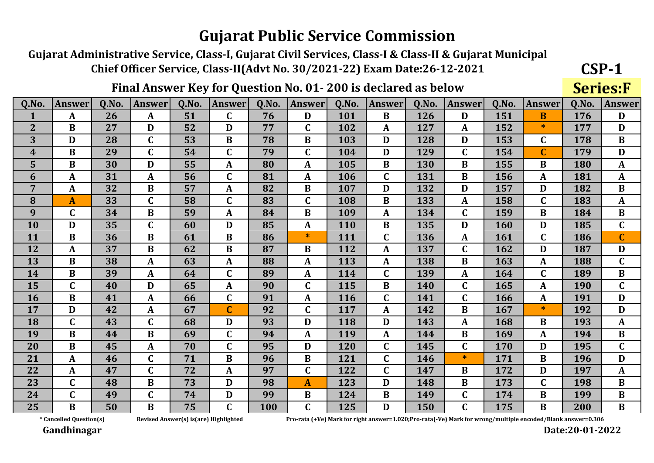Guiarat Administrative Service, Class-I, Guiarat Civil Services, Class-I & Class-II & Guiarat Municipal Chief Officer Service, Class-II(Advt No. 30/2021-22) Exam Date:26-12-2021

## Final Answer Key for Question No. 01-200 is declared as below

 $Q.No.$ Q.No. Answerl  $Q.No.$  $Q.No.$ Q.No.  $Q.No.$ Q.No.  $0.No$ **Answer** Answer Answer **Answer Answer Answer** Answer 51 76 151 26 101  $\mathbf{R}$ 126 176  $\mathbf{1}$  $\mathbf{C}$  $\mathbf{D}$  $\mathbf{D}$  $\overline{\mathbf{R}}$ D  $\mathbf{A}$  $\mathbf{A}$  $\overline{2}$  $\overline{27}$  $\overline{D}$  $\overline{52}$  $77$  $\overline{C}$  $\overline{127}$  $\overline{152}$  $\overline{\ast}$ 177  $\overline{D}$  $\mathbf{B}$  $\mathbf{D}$ 102  $\mathbf{A}$  $\mathbf{A}$ 3 28  $\mathbf C$ 53 78  $\bf{B}$ 103 128 D 153 178  $\bf{B}$ D  $\bf{B}$ D  $\mathbf C$  $\overline{4}$  $\bf{B}$ 29  $\mathbf{C}$ 54  $\mathbf C$ 79  $\mathbf C$ 104  $\mathbf{D}$ 129  $\mathbf{C}$ 154  $\mathbf C$ 179 D 5 30 55 B  $\bf{B}$ 155 B D  $\mathbf{A}$ 80  $\mathbf{A}$ 105 130  $\bf{B}$ 180  $\mathbf{A}$ 31 6  $\mathbf{A}$ 56  $\mathbf{C}$ 81 106  $\mathbf C$ 131  $\overline{\mathbf{B}}$ 156  $\mathbf{A}$ 181  $\mathbf{A}$  $\mathbf{A}$  $\mathbf{A}$  $\overline{7}$  $\overline{32}$  $\overline{57}$  $\overline{R2}$  $132$ 157  $\overline{\mathbf{B}}$  $\mathbf{A}$  $\mathbf{R}$ 107  $\mathbf{D}$  $\mathbf D$  $\mathbf{D}$ 182  $\overline{\mathbf{R}}$  $\mathbf{A}$ 33 58 83 133  $\mathbf{C}$ 183 8  $\mathbf{C}$  $\mathbf C$  $\mathbf{C}$ 108  $\bf{B}$ 158  $\mathbf{A}$  $\mathbf{A}$ A 34 59 84 134 159  $\mathbf q$  $\mathbf C$ B  $\mathbf{A}$  $\bf{B}$ 109  $\mathbf{A}$  $\mathbf{C}$  $\bf{B}$ 184  $\bf{B}$ **10** D 35  $\mathbf{C}$ 85 B 135 160 185  $\mathbf C$ 60 D  $\mathbf{A}$ 110 D D **11** B 36 B 61  $\bf{B}$ 86  $\ast$ 111  $\mathbf C$ 136 161  $\mathbf C$ 186  $\overline{C}$  $\mathbf{A}$ 37 87 112 137 162 12  $\overline{\mathbf{B}}$ 62  $\mathbf{R}$  $\mathbf{A}$  $\mathbf{C}$  $\mathbf{D}$ 187  $\mathbf{A}$  $\mathbf{R}$ D 13 38 63 88 113 163  $\mathbf{B}$  $\mathbf{A}$ 138  $\mathbf{B}$ 188  $\mathbf{C}$  $\mathbf{A}$  $\mathbf{A}$  $\mathbf{A}$  $\mathbf{A}$ 14 39 64  $\mathbf{C}$ 89 114  $\mathbf{C}$ 139 164  $\mathbf{C}$ 189  $\bf{B}$  $\bf{B}$  $\mathbf{A}$  $\mathbf{A}$  $\mathbf{A}$ 15 65 165  $\mathbf{C}$ 40  $\mathbf D$  $\mathbf{A}$ 90  $\mathbf{C}$ 115  $\mathbf{B}$ 140  $\mathbf{C}$  $\mathbf{A}$ 190  $\mathbf{C}$ **16** B 41 66  $\mathbf C$ 91  $\mathbf{A}$ 116  $\mathbf C$ 141  $\mathbf{C}$ 166 191 D  $\mathbf{A}$  $\boldsymbol{A}$ 17  $\mathbf{D}$ 42  $\mathbf{A}$ 67  $\mathbf{C}$ 92  $\mathbf{C}$ 117  $\overline{A}$ 142  $\mathbf{R}$ 167  $\ast$ 192  $\mathbf{D}$  $\overline{C}$ 43  $\overline{C}$ 93 18 68 D D 118 D 143  $\mathbf{A}$ 168  $\bf{B}$ 193  $\mathbf{A}$ 19  $\overline{B}$ 44  $\overline{B}$ 69  $\mathbf C$ 94 119 169  $\mathbf{A}$ B  $\bf{B}$  $\mathbf{A}$ 144  $\mathbf{A}$ 194 20  $\mathbf{B}$ 45 70  $\mathbf{C}$ 95 120  $\mathbf C$ 145  $\mathbf{C}$ 170 195  $\mathbf{C}$  $\mathbf{D}$  $\mathbf{D}$  $\mathbf{A}$  $71$ 21  $\mathbf{C}$  $\bf{B}$ 121  $\mathbf C$  $\ast$ 171  $\boldsymbol{A}$ 46 96  $\bf{B}$ 146  $\bf{B}$ 196 D 22 47  $\mathbf{C}$ 72 97  $\mathbf{C}$ 122  $\mathbf{C}$ 147 172 197  $\mathbf{A}$  $\mathbf{A}$  $\mathbf{R}$  $\mathbf{D}$  $\mathbf{A}$ 23  $\mathbf C$ 48  $\overline{R}$ 73 98 123  $\mathbf{D}$  $\overline{\mathbf{B}}$ 173  $\mathbf{C}$ 198  $\mathbf D$ 148  $\bf{R}$  $\mathbf{A}$  $\mathbf C$ 74 24  $\mathbf C$ 49 D 99  $\bf{B}$ 124  $\bf{B}$ 149  $\mathbf{C}$ 174  $\bf{B}$ 199  $\bf{B}$ 25 50 75  $\mathbf{C}$  $\mathbf{C}$ 125  $\mathbf{C}$ 175  $\mathbf{R}$ B 100 D 150  $\bf{B}$ 200 <sub>B</sub>

\* Cancelled Question(s)

Revised Answer(s) is(are) Highlighted

Pro-rata (+Ve) Mark for right answer=1.020;Pro-rata(-Ve) Mark for wrong/multiple encoded/Blank answer=0.306

Gandhinagar

 $CSP-1$ 

**Series:F**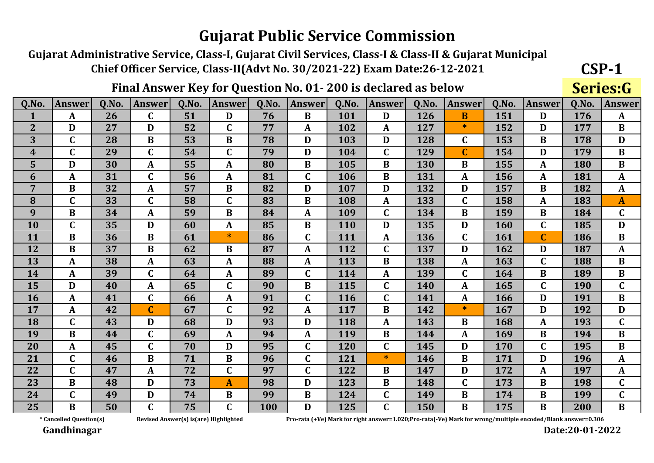Gujarat Administrative Service, Class-I, Gujarat Civil Services, Class-I & Class-II & Gujarat Municipal Chief Officer Service, Class-II(Advt No. 30/2021-22) Exam Date:26-12-2021

## Final Answer Key for Question No. 01-200 is declared as below

| Q.No.                   | <b>Answer</b> | 0.No. | <b>Answer</b> | 0.No. | <b>Answer</b>    | 0.No. | <b>Answer</b> | <b>O.No.</b> | <b>Answer</b> | 0.No. | <b>Answer</b> | 0.No. | <b>Answer</b> | 0.No. | <b>Answer</b>    |
|-------------------------|---------------|-------|---------------|-------|------------------|-------|---------------|--------------|---------------|-------|---------------|-------|---------------|-------|------------------|
| 1                       | A             | 26    | $\mathbf C$   | 51    | D                | 76    | $\bf{B}$      | 101          | D             | 126   | B             | 151   | D             | 176   | $\mathbf{A}$     |
| $\overline{2}$          | D             | 27    | D             | 52    | $\mathbf C$      | 77    | A             | 102          | A             | 127   | ∗             | 152   | D             | 177   | B                |
| 3                       | $\mathbf C$   | 28    | B             | 53    | B                | 78    | D             | 103          | D             | 128   | $\mathbf C$   | 153   | B             | 178   | D                |
| $\overline{\mathbf{4}}$ | $\mathbf C$   | 29    | $\mathbf C$   | 54    | $\mathbf C$      | 79    | D             | 104          | $\mathbf C$   | 129   | $\mathbf C$   | 154   | D             | 179   | $\bf{B}$         |
| 5 <sup>1</sup>          | D             | 30    | A             | 55    | $\boldsymbol{A}$ | 80    | $\bf{B}$      | 105          | $\bf{B}$      | 130   | B             | 155   | A             | 180   | $\bf{B}$         |
| 6                       | A             | 31    | $\mathbf C$   | 56    | A                | 81    | $\mathbf C$   | 106          | $\bf{B}$      | 131   | A             | 156   | A             | 181   | $\boldsymbol{A}$ |
| $\overline{7}$          | $\bf{B}$      | 32    | A             | 57    | $\bf{B}$         | 82    | D             | 107          | D             | 132   | D             | 157   | $\bf{B}$      | 182   | $\mathbf{A}$     |
| 8                       | $\mathbf C$   | 33    | $\mathbf C$   | 58    | $\mathbf C$      | 83    | $\bf{B}$      | 108          | $\mathbf{A}$  | 133   | $\mathbf C$   | 158   | A             | 183   | $\mathbf{A}$     |
| 9                       | $\bf{B}$      | 34    | A             | 59    | B                | 84    | $\mathbf{A}$  | 109          | $\mathbf C$   | 134   | B             | 159   | $\bf{B}$      | 184   | $\mathbf C$      |
| <b>10</b>               | $\mathbf C$   | 35    | D             | 60    | A                | 85    | B             | <b>110</b>   | D             | 135   | D             | 160   | $\mathbf C$   | 185   | D                |
| 11                      | $\bf{B}$      | 36    | B             | 61    | $\ast$           | 86    | C             | 111          | $\mathbf{A}$  | 136   | $\mathbf C$   | 161   | $\mathbf C$   | 186   | B                |
| 12                      | $\bf{B}$      | 37    | $\bf{B}$      | 62    | $\bf{B}$         | 87    | A             | 112          | $\mathbf C$   | 137   | D             | 162   | D             | 187   | $\mathbf{A}$     |
| 13                      | A             | 38    | A             | 63    | A                | 88    | A             | 113          | B             | 138   | A             | 163   | $\mathbf C$   | 188   | $\bf{B}$         |
| 14                      | $\mathbf{A}$  | 39    | $\mathbf C$   | 64    | $\boldsymbol{A}$ | 89    | $\mathbf C$   | 114          | $\mathbf{A}$  | 139   | $\mathbf C$   | 164   | $\bf{B}$      | 189   | $\bf{B}$         |
| 15                      | D             | 40    | A             | 65    | $\mathbf C$      | 90    | $\bf{B}$      | 115          | $\mathbf C$   | 140   | A             | 165   | $\mathbf C$   | 190   | $\mathbf C$      |
| 16                      | A             | 41    | $\mathbf C$   | 66    | A                | 91    | $\mathbf C$   | 116          | $\mathbf C$   | 141   | A             | 166   | D             | 191   | $\bf{B}$         |
| 17                      | A             | 42    | $\mathbf C$   | 67    | $\mathbf C$      | 92    | A             | 117          | B             | 142   | ∗             | 167   | D             | 192   | D                |
| 18                      | $\mathbf C$   | 43    | D             | 68    | D                | 93    | D             | 118          | A             | 143   | B             | 168   | A             | 193   | $\mathbf C$      |
| 19                      | B             | 44    | C             | 69    | $\boldsymbol{A}$ | 94    | $\mathbf{A}$  | 119          | B             | 144   | A             | 169   | B             | 194   | $\bf{B}$         |
| 20                      | A             | 45    | C             | 70    | D                | 95    | $\mathbf C$   | 120          | $\mathbf C$   | 145   | D             | 170   | $\mathbf C$   | 195   | $\bf{B}$         |
| 21                      | $\mathbf C$   | 46    | $\bf{B}$      | 71    | $\bf{B}$         | 96    | $\mathbf C$   | 121          | $\ast$        | 146   | B             | 171   | D             | 196   | $\mathbf{A}$     |
| 22                      | $\mathbf C$   | 47    | A             | 72    | $\mathbf C$      | 97    | $\mathbf C$   | 122          | $\bf{B}$      | 147   | D             | 172   | A             | 197   | $\mathbf{A}$     |
| 23                      | $\bf{B}$      | 48    | D             | 73    | A                | 98    | D             | 123          | $\bf{B}$      | 148   | $\mathbf C$   | 173   | $\bf{B}$      | 198   | $\mathbf C$      |
| 24                      | $\mathbf C$   | 49    | D             | 74    | B                | 99    | B             | 124          | $\mathbf C$   | 149   | B             | 174   | B             | 199   | $\mathbf C$      |
| 25                      | B             | 50    | $\mathsf{C}$  | 75    | $\mathbf C$      | 100   | D             | 125          | $\mathbf C$   | 150   | B             | 175   | $\bf{B}$      | 200   | B                |

\* Cancelled Question(s)

Revised Answer(s) is(are) Highlighted

Pro-rata (+Ve) Mark for right answer=1.020;Pro-rata(-Ve) Mark for wrong/multiple encoded/Blank answer=0.306

Gandhinagar

 $CSP-1$ 

Series:G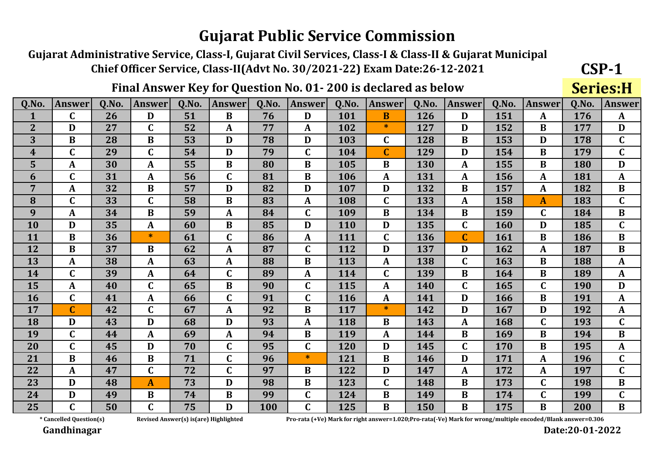Guiarat Administrative Service, Class-I, Guiarat Civil Services, Class-I & Class-II & Guiarat Municipal Chief Officer Service, Class-II(Advt No. 30/2021-22) Exam Date:26-12-2021

## Final Answer Key for Question No. 01-200 is declared as below

 $Q.No.$ Q.No. Answerl  $Q.No.$  $Q.No.$ Q.No. Q.No.  $0.No$ **Answer** Answer Answer **Answer Answer Answer** Q.No. Answer 51 76 151  $\mathbf{C}$ 26  $\mathbf{R}$ 101 126 176  $\mathbf{1}$  $\mathbf D$  $\mathbf{D}$  $\overline{\mathbf{R}}$  $\mathbf{D}$  $\mathbf{A}$  $\mathbf{A}$  $\overline{2}$  $\overline{\mathbf{D}}$  $\overline{27}$  $\overline{C}$  $\overline{52}$  $77$  $\overline{\ast}$  $\overline{127}$  $\overline{D}$  $\overline{152}$ 177  $\overline{D}$ 102  $\mathbf{B}$  $\mathbf{A}$  $\mathbf{A}$ 3 28  $\overline{B}$ 53 78 D 103 128 153 D 178  $\mathbf{C}$  $\bf{B}$ D  $\mathbf C$  $\bf{B}$  $\overline{\mathbf{4}}$  $\mathbf C$ 29  $\mathbf C$ 54  $\mathbf{D}$ 79  $\mathbf{C}$ 104  $\mathbf C$ 129 D 154  $\bf{B}$ 179  $\mathbf{C}$ 5 30 55  $\bf{B}$ 80  $\bf{B}$ 155  $\mathbf{A}$  $\mathbf{A}$ 105  $\bf{B}$ 130  $\mathbf{A}$  $\bf{B}$ 180 D 31 6  $\mathbf C$ 56  $\mathbf{C}$ 81  $\mathbf{R}$ 106  $\overline{A}$ 131 156  $\mathbf{A}$ 181  $\mathbf{A}$  $\mathbf{A}$  $\mathbf{A}$  $\overline{32}$  $\overline{57}$  $\overline{R2}$  $132$ 157  $\overline{7}$  $\mathbf{A}$  $\overline{\mathbf{B}}$  $\mathbf{D}$  $\mathbf{D}$ 107  $\mathbf{D}$  $\overline{\mathbf{B}}$  $\overline{A}$ 182  $\mathbf{R}$ 33  $\mathbf{C}$ 58 83  $\mathbf{C}$ 133 183 8  $\mathbf C$  $\bf{B}$ 108 158  $\mathbf{C}$  $\mathbf{A}$  $\mathbf{A}$  $\mathbf{A}$ 34 59 84 134 159 9  $\mathbf{A}$ B  $\mathbf{A}$  $\mathbf C$ 109  $\bf{B}$ B  $\mathbf C$ 184  $\bf{B}$ **10** 35 B 85 D 135  $\mathbf{C}$ 160 D 185  $\mathbf C$ D  $\mathbf{A}$ 60 110 D  $\ast$  $\mathbf C$ **11** B 36 61  $\mathbf C$ 86  $\mathbf{A}$ 111 136  $\mathbf C$ 161  $\bf{B}$ 186  $\bf{B}$ 12 37 87 112 137 162  $\overline{\mathbf{B}}$ 62  $\mathbf{C}$  $\mathbf{D}$  $\mathbf D$ 187  $\overline{\mathbf{R}}$  $\mathbf{R}$  $\mathbf{A}$  $\mathbf{A}$ 13 38 63 88 113 163  $\mathbf{B}$  $\mathbf{A}$ 138  $\mathbf{C}$  $\mathbf{B}$ 188  $\mathbf{A}$  $\mathbf{A}$  $\mathbf{A}$  $\mathbf{A}$ 14  $\mathbf{C}$ 39 64  $\mathbf{C}$ 89 114  $\mathbf{C}$ 139 164 189  $\bf{B}$  $\bf{B}$  $\mathbf{A}$  $\mathbf{A}$  $\mathbf{A}$ 15 65 165  $\mathbf{A}$ 40  $\mathbf{C}$  $\mathbf{B}$ 90  $\mathbf{C}$ 115  $\mathbf{A}$ 140  $\mathbf{C}$  $\mathbf{C}$ 190  $\mathbf{D}$ **16**  $\mathbf C$ 41  $\mathbf{A}$ 66  $\mathbf C$ 91  $\mathbf C$ 116 141 D 166  $\bf{B}$ 191  $\mathbf{A}$ A 17  $\mathbf{C}$ 42  $\mathbf{C}$ 67  $\mathbf{A}$ 92  $\mathbf{R}$ 117  $\ast$ 142  $\mathbf D$ 167  $\mathbf{D}$ 192  $\mathbf{A}$ 43 93  $\overline{C}$  $\overline{C}$ 18 D D 68 D  $\mathbf{A}$ 118  $\bf{B}$ 143 168 193  $\mathbf{A}$ 19  $\mathbf C$ 44 69 94 119 169  $\overline{B}$  $\bf{B}$  $\bf{B}$ B  $\mathbf{A}$  $\mathbf{A}$  $\mathbf{A}$ 144 194 20  $\mathbf C$ 45 70  $\mathbf{C}$ 95  $\mathbf{C}$ 120 145  $\mathbf{C}$ 170  $\mathbf{B}$ 195  $\mathbf{D}$ D  $\mathbf{A}$  $71$ 21  $\mathbf{C}$  $\ast$ 121  $\overline{B}$ 171  $\mathbf{C}$ B 46 B 96 146  $\mathbf D$  $\boldsymbol{A}$ 196 22 47  $\mathbf{C}$ 72  $\mathbf{C}$ 97 122 147 172 197  $\mathbf{C}$  $\mathbf{A}$  $\mathbf{R}$  $\mathbf{D}$  $\mathbf{A}$  $\mathbf{A}$ 23 48 73 98  $\mathbf{R}$ 123  $\mathbf C$  $\overline{\mathbf{B}}$ 173  $\mathbf{C}$ 198  $\overline{\mathbf{R}}$ D  $\mathbf{A}$  $\mathbf D$ 148 74 99  $\mathbf{C}$ 24 D 49  $\bf{B}$  $\bf{B}$  $\mathbf C$ 124  $\bf{B}$ 149  $\bf{B}$ 174 199  $\mathbf C$ 25  $\mathbf{C}$ 50  $\mathbf C$ 75  $\mathbf{C}$ 125 175  $\mathbf{D}$ 100  $\bf{B}$ 150  $\mathbf{R}$  $\bf{B}$  $\bf{B}$ 200

\* Cancelled Question(s)

Revised Answer(s) is(are) Highlighted

Pro-rata (+Ve) Mark for right answer=1.020;Pro-rata(-Ve) Mark for wrong/multiple encoded/Blank answer=0.306

Gandhinagar

Date:20-01-2022

 $CSP-1$ 

**Series:H**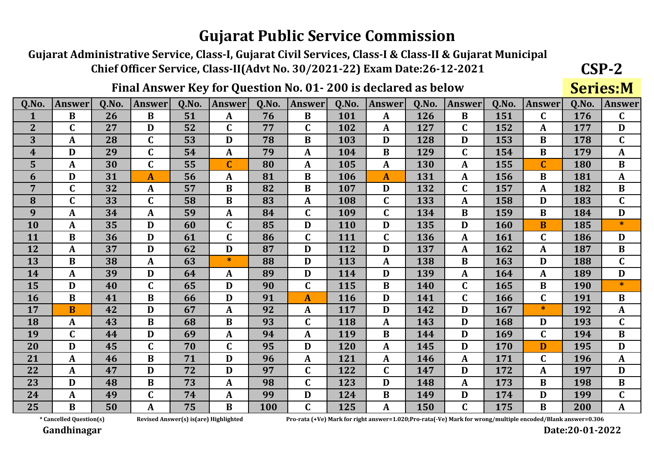Gujarat Administrative Service, Class-I, Gujarat Civil Services, Class-I & Class-II & Gujarat Municipal Chief Officer Service, Class-II(Advt No. 30/2021-22) Exam Date:26-12-2021

## Final Answer Key for Question No. 01-200 is declared as below

| Q.No.          | <b>Answer</b> | Q.No. | <b>Answer</b> | Q.No. | <b>Answer</b>  | 0.No. | <b>Answer</b> | Q.No. | <b>Answer</b> | Q.No. | <b>Answer</b> | Q.No. | <b>Answer</b>  | Q.No. | <b>Answer</b> |
|----------------|---------------|-------|---------------|-------|----------------|-------|---------------|-------|---------------|-------|---------------|-------|----------------|-------|---------------|
| 1              | $\bf{B}$      | 26    | B             | 51    | A              | 76    | $\bf{B}$      | 101   | $\mathbf{A}$  | 126   | $\bf{B}$      | 151   | $\mathbf C$    | 176   | $\mathbf C$   |
| $\overline{2}$ | $\mathbf C$   | 27    | D             | 52    | $\mathbf C$    | 77    | $\mathbf C$   | 102   | A             | 127   | $\mathbf C$   | 152   | A              | 177   | D             |
| 3              | $\mathbf{A}$  | 28    | C             | 53    | D              | 78    | $\bf{B}$      | 103   | D             | 128   | D             | 153   | B              | 178   | $\mathbf C$   |
| $\overline{4}$ | D             | 29    | $\mathbf C$   | 54    | A              | 79    | A             | 104   | B             | 129   | $\mathbf C$   | 154   | $\bf{B}$       | 179   | A             |
| 5              | A             | 30    | $\mathbf C$   | 55    | $\overline{C}$ | 80    | A             | 105   | $\mathbf{A}$  | 130   | A             | 155   | $\overline{C}$ | 180   | B             |
| 6              | D             | 31    | $\mathbf{A}$  | 56    | A              | 81    | $\bf{B}$      | 106   | $\mathbf{A}$  | 131   | A             | 156   | $\bf{B}$       | 181   | $\mathbf{A}$  |
| $\overline{7}$ | $\mathbf C$   | 32    | A             | 57    | $\bf{B}$       | 82    | $\bf{B}$      | 107   | D             | 132   | $\mathbf C$   | 157   | A              | 182   | $\bf{B}$      |
| 8              | $\mathbf C$   | 33    | $\mathbf C$   | 58    | B              | 83    | $\mathbf{A}$  | 108   | $\mathbf C$   | 133   | A             | 158   | D              | 183   | $\mathbf C$   |
| 9              | A             | 34    | A             | 59    | A              | 84    | $\mathbf C$   | 109   | $\mathbf C$   | 134   | B             | 159   | B              | 184   | D             |
| 10             | A             | 35    | D             | 60    | $\mathbf C$    | 85    | D             | 110   | D             | 135   | D             | 160   | $\overline{B}$ | 185   | $\ast$        |
| 11             | $\bf{B}$      | 36    | D             | 61    | $\mathbf C$    | 86    | $\mathbf C$   | 111   | $\mathbf C$   | 136   | A             | 161   | $\mathbf C$    | 186   | D             |
| 12             | $\mathbf{A}$  | 37    | D             | 62    | D              | 87    | D             | 112   | D             | 137   | A             | 162   | A              | 187   | $\bf{B}$      |
| 13             | $\bf{B}$      | 38    | A             | 63    | $\ast$         | 88    | D             | 113   | $\mathbf{A}$  | 138   | B             | 163   | D              | 188   | $\mathbf C$   |
| 14             | $\mathbf{A}$  | 39    | D             | 64    | $\mathbf{A}$   | 89    | D             | 114   | D             | 139   | A             | 164   | $\mathbf{A}$   | 189   | D             |
| 15             | D             | 40    | $\mathbf C$   | 65    | D              | 90    | $\mathbf C$   | 115   | $\bf{B}$      | 140   | $\mathbf C$   | 165   | $\bf{B}$       | 190   | $\ast$        |
| <b>16</b>      | $\bf{B}$      | 41    | B             | 66    | D              | 91    | A             | 116   | D             | 141   | $\mathbf{C}$  | 166   | $\mathbf C$    | 191   | B             |
| 17             | $\mathbf{B}$  | 42    | D             | 67    | A              | 92    | $\mathbf{A}$  | 117   | D             | 142   | D             | 167   | $\ast$         | 192   | $\mathbf{A}$  |
| 18             | A             | 43    | $\bf{B}$      | 68    | $\bf{B}$       | 93    | $\mathbf C$   | 118   | $\mathbf{A}$  | 143   | D             | 168   | D              | 193   | $\mathbf C$   |
| 19             | $\mathbf C$   | 44    | D             | 69    | A              | 94    | A             | 119   | B             | 144   | D             | 169   | $\mathbf C$    | 194   | $\bf{B}$      |
| 20             | D             | 45    | $\mathbf C$   | 70    | $\mathbf C$    | 95    | D             | 120   | $\mathbf{A}$  | 145   | D             | 170   | D              | 195   | D             |
| 21             | A             | 46    | $\bf{B}$      | 71    | D              | 96    | A             | 121   | $\mathbf{A}$  | 146   | A             | 171   | $\mathbf{C}$   | 196   | $\mathbf{A}$  |
| 22             | A             | 47    | D             | 72    | D              | 97    | $\mathbf C$   | 122   | $\mathbf C$   | 147   | D             | 172   | A              | 197   | D             |
| 23             | D             | 48    | B             | 73    | A              | 98    | C             | 123   | D             | 148   | A             | 173   | B              | 198   | B             |
| 24             | A             | 49    | $\mathsf C$   | 74    | A              | 99    | D             | 124   | $\bf{B}$      | 149   | D             | 174   | D              | 199   | $\mathbf C$   |
| 25             | $\bf{B}$      | 50    | A             | 75    | B              | 100   | $\mathsf{C}$  | 125   | $\mathbf{A}$  | 150   | $\mathbf{C}$  | 175   | $\bf{B}$       | 200   | $\mathbf A$   |

\* Cancelled Question(s)

Revised Answer(s) is(are) Highlighted

Pro-rata (+Ve) Mark for right answer=1.020;Pro-rata(-Ve) Mark for wrong/multiple encoded/Blank answer=0.306

Gandhinagar

 $CSP-2$ 

**Series:M**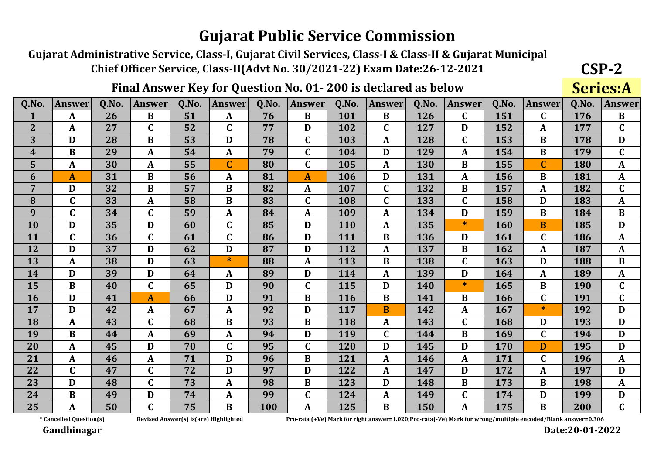Gujarat Administrative Service, Class-I, Gujarat Civil Services, Class-I & Class-II & Gujarat Municipal Chief Officer Service, Class-II(Advt No. 30/2021-22) Exam Date:26-12-2021

## Final Answer Key for Question No. 01-200 is declared as below

| Q.No.        | <b>Answer</b>    | 0.No. | <b>Answer</b> | 0.No. | <b>Answer</b>    | 0.No.      | Answer      | 0.No. | <b>Answer</b> | 0.No. | <b>Answer</b> | 0.No.      | <b>Answer</b>    | 0.No. | <b>Answer</b> |
|--------------|------------------|-------|---------------|-------|------------------|------------|-------------|-------|---------------|-------|---------------|------------|------------------|-------|---------------|
| $\mathbf{1}$ | A                | 26    | $\bf{B}$      | 51    | A                | 76         | $\bf{B}$    | 101   | $\bf{B}$      | 126   | $\mathbf C$   | 151        | $\mathbf C$      | 176   | $\bf{B}$      |
| $\mathbf{2}$ | A                | 27    | $\mathbf C$   | 52    | $\mathbf C$      | 77         | D           | 102   | $\mathbf C$   | 127   | D             | 152        | A                | 177   | $\mathbf C$   |
| 3            | D                | 28    | B             | 53    | D                | 78         | C           | 103   | A             | 128   | $\mathbf C$   | 153        | B                | 178   | D             |
| 4            | B                | 29    | A             | 54    | $\boldsymbol{A}$ | 79         | C           | 104   | D             | 129   | A             | 154        | B                | 179   | $\mathbf C$   |
| 5            | A                | 30    | A             | 55    | $\mathbf C$      | 80         | C           | 105   | A             | 130   | B             | 155        | $\mathbf C$      | 180   | $\mathbf{A}$  |
| 6            | A                | 31    | B             | 56    | A                | 81         | A           | 106   | D             | 131   | A             | 156        | B                | 181   | $\mathbf{A}$  |
| 7            | D                | 32    | B             | 57    | $\bf{B}$         | 82         | A           | 107   | $\mathbf C$   | 132   | B             | 157        | $\boldsymbol{A}$ | 182   | $\mathbf C$   |
| 8            | $\mathbf C$      | 33    | A             | 58    | B                | 83         | $\mathbf C$ | 108   | $\mathbf C$   | 133   | $\mathbf C$   | 158        | D                | 183   | $\mathbf{A}$  |
| 9            | $\mathbf C$      | 34    | $\mathbf C$   | 59    | A                | 84         | A           | 109   | A             | 134   | D             | 159        | B                | 184   | B             |
| 10           | D                | 35    | D             | 60    | $\mathbf C$      | 85         | D           | 110   | A             | 135   | ∗             | <b>160</b> | B                | 185   | D             |
| 11           | $\mathbf C$      | 36    | $\mathbf C$   | 61    | $\mathbf C$      | 86         | D           | 111   | B             | 136   | D             | 161        | $\mathbf C$      | 186   | $\mathbf{A}$  |
| 12           | D                | 37    | D             | 62    | D                | 87         | D           | 112   | A             | 137   | B             | 162        | $\boldsymbol{A}$ | 187   | $\mathbf{A}$  |
| 13           | A                | 38    | D             | 63    | $\ast$           | 88         | A           | 113   | $\bf{B}$      | 138   | C             | 163        | D                | 188   | B             |
| 14           | D                | 39    | D             | 64    | A                | 89         | D           | 114   | A             | 139   | D             | 164        | $\boldsymbol{A}$ | 189   | $\mathbf{A}$  |
| 15           | $\bf{B}$         | 40    | $\mathbf C$   | 65    | D                | 90         | $\mathbf C$ | 115   | D             | 140   | $\ast$        | 165        | B                | 190   | $\mathbf C$   |
| 16           | D                | 41    | A             | 66    | D                | 91         | $\bf{B}$    | 116   | B             | 141   | B             | 166        | $\mathbf C$      | 191   | $\mathbf C$   |
| 17           | D                | 42    | A             | 67    | A                | 92         | D           | 117   | B             | 142   | A             | 167        | $\ast$           | 192   | D             |
| 18           | A                | 43    | C             | 68    | $\bf{B}$         | 93         | B           | 118   | A             | 143   | C             | 168        | D                | 193   | D             |
| 19           | B                | 44    | A             | 69    | $\boldsymbol{A}$ | 94         | D           | 119   | $\mathbf C$   | 144   | B             | 169        | $\mathbf C$      | 194   | D             |
| 20           | A                | 45    | D             | 70    | $\mathbf C$      | 95         | C           | 120   | D             | 145   | D             | 170        | D                | 195   | D             |
| 21           | $\boldsymbol{A}$ | 46    | A             | 71    | D                | 96         | $\bf{B}$    | 121   | $\mathbf{A}$  | 146   | A             | 171        | $\mathbf C$      | 196   | $\mathbf{A}$  |
| 22           | $\mathbf C$      | 47    | $\mathbf C$   | 72    | D                | 97         | D           | 122   | A             | 147   | D             | 172        | $\mathbf{A}$     | 197   | D             |
| 23           | D                | 48    | $\mathbf C$   | 73    | A                | 98         | $\bf{B}$    | 123   | D             | 148   | B             | 173        | B                | 198   | $\mathbf{A}$  |
| 24           | B                | 49    | D             | 74    | A                | 99         | C           | 124   | A             | 149   | $\mathbf C$   | 174        | D                | 199   | D             |
| 25           | A                | 50    | C             | 75    | $\bf{B}$         | <b>100</b> | A           | 125   | B             | 150   | A             | 175        | B                | 200   | $\mathbf C$   |

\* Cancelled Question(s)

Revised Answer(s) is(are) Highlighted

Pro-rata (+Ve) Mark for right answer=1.020;Pro-rata(-Ve) Mark for wrong/multiple encoded/Blank answer=0.306

Gandhinagar

 $CSP-2$ 

**Series:A**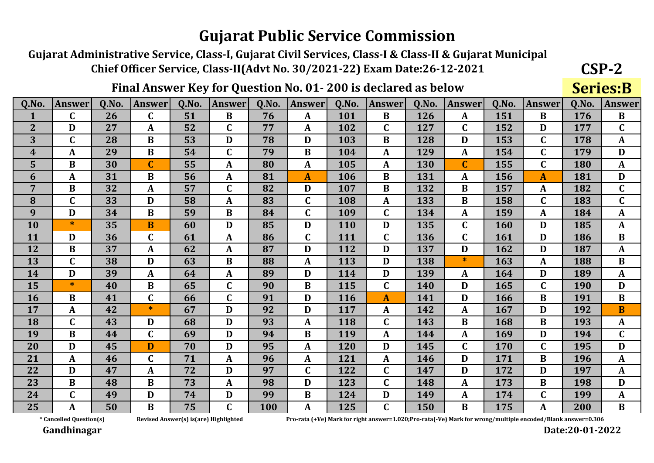Gujarat Administrative Service, Class-I, Gujarat Civil Services, Class-I & Class-II & Gujarat Municipal Chief Officer Service, Class-II(Advt No. 30/2021-22) Exam Date:26-12-2021

## Final Answer Key for Question No. 01-200 is declared as below

| Q.No.          | <b>Answer</b> | 0.No. | <b>Answer</b>  | Q.No. | <b>Answer</b>    | 0.No.      | <b>Answer</b>    | 0.No. | <b>Answer</b>    | 0.No. | <b>Answer</b> | <b>O.No.</b> | <b>Answer</b> | Q.No. | <b>Answer</b> |
|----------------|---------------|-------|----------------|-------|------------------|------------|------------------|-------|------------------|-------|---------------|--------------|---------------|-------|---------------|
| 1              | $\mathbf C$   | 26    | $\mathbf C$    | 51    | $\bf{B}$         | 76         | A                | 101   | B                | 126   | A             | 151          | $\bf{B}$      | 176   | $\bf{B}$      |
| $\overline{2}$ | D             | 27    | A              | 52    | $\mathbf C$      | 77         | $\mathbf{A}$     | 102   | $\mathbf C$      | 127   | $\mathbf C$   | 152          | D             | 177   | $\mathbf C$   |
| 3              | $\mathbf C$   | 28    | $\bf{B}$       | 53    | D                | 78         | D                | 103   | B                | 128   | D             | 153          | $\mathbf C$   | 178   | $\mathbf{A}$  |
| 4              | A             | 29    | $\bf{B}$       | 54    | $\mathbf C$      | 79         | $\bf{B}$         | 104   | $\mathbf{A}$     | 129   | A             | 154          | $\mathbf C$   | 179   | D             |
| 5 <sup>5</sup> | B             | 30    | $\overline{C}$ | 55    | A                | 80         | $\boldsymbol{A}$ | 105   | $\boldsymbol{A}$ | 130   | $\mathbf C$   | 155          | $\mathbf C$   | 180   | $\mathbf{A}$  |
| 6              | A             | 31    | B              | 56    | A                | 81         | A                | 106   | B                | 131   | A             | 156          | $\mathbf{A}$  | 181   | D             |
| $\overline{7}$ | $\bf{B}$      | 32    | A              | 57    | $\mathbf C$      | 82         | D                | 107   | $\bf{B}$         | 132   | $\bf{B}$      | 157          | A             | 182   | $\mathbf C$   |
| 8              | $\mathbf C$   | 33    | D              | 58    | A                | 83         | $\mathbf C$      | 108   | $\mathbf A$      | 133   | B             | 158          | $\mathbf C$   | 183   | $\mathbf C$   |
| 9              | D             | 34    | $\bf{B}$       | 59    | $\bf{B}$         | 84         | $\mathbf C$      | 109   | $\mathbf C$      | 134   | A             | 159          | A             | 184   | A             |
| 10             | $\ast$        | 35    | <sub>B</sub>   | 60    | D                | 85         | D                | 110   | D                | 135   | $\mathbf C$   | 160          | D             | 185   | A             |
| 11             | D             | 36    | C              | 61    | A                | 86         | C                | 111   | $\mathbf C$      | 136   | $\mathbf C$   | 161          | D             | 186   | B             |
| 12             | $\bf{B}$      | 37    | A              | 62    | $\boldsymbol{A}$ | 87         | D                | 112   | D                | 137   | D             | 162          | D             | 187   | $\mathbf{A}$  |
| 13             | $\mathbf C$   | 38    | D              | 63    | $\bf{B}$         | 88         | A                | 113   | D                | 138   | $\ast$        | 163          | A             | 188   | $\bf{B}$      |
| 14             | D             | 39    | A              | 64    | A                | 89         | D                | 114   | D                | 139   | A             | 164          | D             | 189   | $\mathbf{A}$  |
| 15             | $\ast$        | 40    | $\bf{B}$       | 65    | $\mathbf C$      | 90         | $\bf{B}$         | 115   | $\mathbf C$      | 140   | D             | 165          | $\mathbf C$   | 190   | D             |
| 16             | B             | 41    | $\mathbf C$    | 66    | $\mathbf C$      | 91         | D                | 116   | $\mathbf{A}$     | 141   | D             | 166          | <sub>B</sub>  | 191   | B             |
| 17             | A             | 42    | *              | 67    | D                | 92         | D                | 117   | A                | 142   | A             | 167          | D             | 192   | B             |
| 18             | $\mathbf C$   | 43    | D              | 68    | D                | 93         | $\mathbf{A}$     | 118   | $\mathbf C$      | 143   | B             | 168          | $\bf{B}$      | 193   | $\mathbf{A}$  |
| 19             | $\bf{B}$      | 44    | $\mathbf C$    | 69    | D                | 94         | $\bf{B}$         | 119   | $\mathbf{A}$     | 144   | A             | 169          | D             | 194   | $\mathbf C$   |
| 20             | D             | 45    | D              | 70    | D                | 95         | A                | 120   | D                | 145   | $\mathbf C$   | 170          | $\mathbf C$   | 195   | D             |
| 21             | A             | 46    | C              | 71    | $\mathbf{A}$     | 96         | $\mathbf{A}$     | 121   | $\mathbf A$      | 146   | D             | 171          | $\bf{B}$      | 196   | $\mathbf{A}$  |
| 22             | D             | 47    | A              | 72    | D                | 97         | $\mathbf C$      | 122   | $\mathbf C$      | 147   | D             | 172          | D             | 197   | $\mathbf{A}$  |
| 23             | $\bf{B}$      | 48    | $\bf{B}$       | 73    | $\mathbf{A}$     | 98         | D                | 123   | $\mathbf C$      | 148   | A             | 173          | $\bf{B}$      | 198   | D             |
| 24             | $\mathbf C$   | 49    | D              | 74    | D                | 99         | B                | 124   | D                | 149   | A             | 174          | $\mathbf C$   | 199   | A             |
| 25             | A             | 50    | B              | 75    | $\mathbf C$      | <b>100</b> | A                | 125   | $\mathbf C$      | 150   | B             | 175          | A             | 200   | B             |

\* Cancelled Question(s)

Revised Answer(s) is(are) Highlighted

Pro-rata (+Ve) Mark for right answer=1.020;Pro-rata(-Ve) Mark for wrong/multiple encoded/Blank answer=0.306

Gandhinagar

 $CSP-2$ 

**Series:B**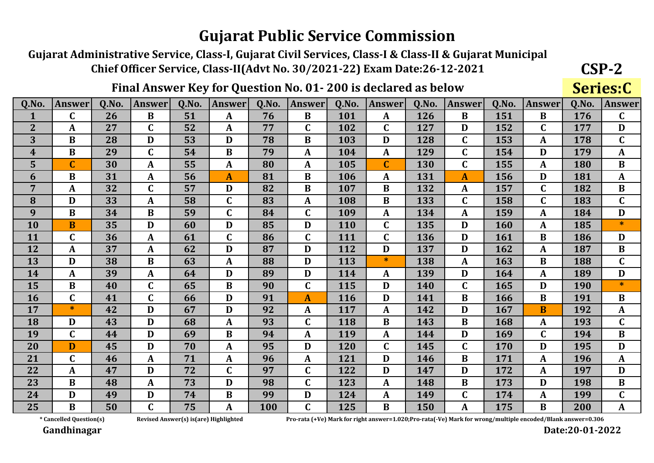Gujarat Administrative Service, Class-I, Gujarat Civil Services, Class-I & Class-II & Gujarat Municipal Chief Officer Service, Class-II(Advt No. 30/2021-22) Exam Date:26-12-2021

## Final Answer Key for Question No. 01-200 is declared as below

| Q.No.          | <b>Answer</b> | 0.No. | <b>Answer</b> | 0.No. | <b>Answer</b>    | 0.No.      | <b>Answer</b> | <b>O.No.</b> | <b>Answer</b>    | 0.No. | <b>Answer</b> | 0.No.      | <b>Answer</b>    | Q.No. | <b>Answer</b> |
|----------------|---------------|-------|---------------|-------|------------------|------------|---------------|--------------|------------------|-------|---------------|------------|------------------|-------|---------------|
| $\mathbf{1}$   | $\mathbf C$   | 26    | $\bf{B}$      | 51    | $\mathbf{A}$     | 76         | B             | 101          | $\mathbf{A}$     | 126   | $\bf{B}$      | 151        | $\bf{B}$         | 176   | $\mathbf C$   |
| $\overline{2}$ | A             | 27    | $\mathbf C$   | 52    | $\mathbf{A}$     | 77         | C             | 102          | $\mathbf C$      | 127   | D             | 152        | $\mathbf C$      | 177   | D             |
| 3              | B             | 28    | D             | 53    | D                | 78         | B             | 103          | D                | 128   | $\mathbf C$   | 153        | A                | 178   | $\mathbf C$   |
| 4              | B             | 29    | $\mathbf C$   | 54    | B                | 79         | A             | 104          | A                | 129   | C             | 154        | D                | 179   | A             |
| 5              | $\mathbf C$   | 30    | A             | 55    | $\mathbf{A}$     | 80         | A             | 105          | $\overline{C}$   | 130   | $\mathbf C$   | 155        | $\boldsymbol{A}$ | 180   | B             |
| 6              | B             | 31    | A             | 56    | A                | 81         | B             | 106          | A                | 131   | A             | 156        | D                | 181   | A             |
| $\overline{7}$ | A             | 32    | $\mathbf C$   | 57    | D                | 82         | B             | 107          | B                | 132   | A             | 157        | $\mathbf C$      | 182   | $\bf{B}$      |
| 8              | D             | 33    | A             | 58    | $\mathbf C$      | 83         | A             | 108          | $\bf{B}$         | 133   | $\mathbf C$   | 158        | $\mathbf C$      | 183   | $\mathbf C$   |
| 9              | B             | 34    | B             | 59    | $\mathbf C$      | 84         | $\mathbf C$   | 109          | A                | 134   | A             | 159        | $\boldsymbol{A}$ | 184   | D             |
| 10             | B             | 35    | D             | 60    | D                | 85         | D             | <b>110</b>   | $\mathbf C$      | 135   | D             | <b>160</b> | A                | 185   | $\ast$        |
| 11             | $\mathbf C$   | 36    | A             | 61    | $\mathbf C$      | 86         | C             | 111          | $\mathbf C$      | 136   | D             | 161        | B                | 186   | D             |
| 12             | A             | 37    | A             | 62    | D                | 87         | D             | 112          | D                | 137   | D             | 162        | $\boldsymbol{A}$ | 187   | $\bf{B}$      |
| 13             | D             | 38    | $\bf{B}$      | 63    | $\boldsymbol{A}$ | 88         | D             | 113          | ∗                | 138   | A             | 163        | B                | 188   | $\mathbf C$   |
| 14             | A             | 39    | A             | 64    | D                | 89         | D             | 114          | A                | 139   | D             | 164        | $\boldsymbol{A}$ | 189   | D             |
| 15             | $\bf{B}$      | 40    | $\mathbf C$   | 65    | B                | 90         | $\mathbf C$   | 115          | D                | 140   | $\mathbf C$   | 165        | D                | 190   | $\ast$        |
| 16             | $\mathbf C$   | 41    | $\mathbf C$   | 66    | D                | 91         | $\mathbf{A}$  | 116          | D                | 141   | B             | 166        | B                | 191   | B             |
| 17             | $\ast$        | 42    | D             | 67    | D                | 92         | A             | 117          | A                | 142   | D             | 167        | B                | 192   | $\mathbf{A}$  |
| 18             | D             | 43    | D             | 68    | $\boldsymbol{A}$ | 93         | C             | 118          | $\bf{B}$         | 143   | B             | 168        | A                | 193   | $\mathbf C$   |
| 19             | $\mathbf C$   | 44    | D             | 69    | $\bf{B}$         | 94         | $\mathbf{A}$  | 119          | $\boldsymbol{A}$ | 144   | D             | 169        | $\mathbf C$      | 194   | $\bf{B}$      |
| 20             | D             | 45    | D             | 70    | A                | 95         | D             | 120          | $\mathbf C$      | 145   | $\mathbf C$   | 170        | D                | 195   | D             |
| 21             | $\mathbf C$   | 46    | A             | 71    | A                | 96         | $\mathbf{A}$  | 121          | D                | 146   | B             | 171        | $\mathbf{A}$     | 196   | $\mathbf{A}$  |
| 22             | A             | 47    | D             | 72    | $\mathbf C$      | 97         | $\mathbf C$   | 122          | D                | 147   | D             | 172        | $\boldsymbol{A}$ | 197   | D             |
| 23             | $\bf{B}$      | 48    | A             | 73    | D                | 98         | $\mathbf C$   | 123          | $\boldsymbol{A}$ | 148   | B             | 173        | D                | 198   | $\bf{B}$      |
| 24             | D             | 49    | D             | 74    | B                | 99         | D             | 124          | A                | 149   | $\mathbf C$   | 174        | A                | 199   | $\mathbf C$   |
| 25             | B             | 50    | $\mathbf C$   | 75    | A                | <b>100</b> | C             | 125          | $\bf{B}$         | 150   | A             | 175        | B                | 200   | A             |

\* Cancelled Question(s)

Revised Answer(s) is(are) Highlighted

Pro-rata (+Ve) Mark for right answer=1.020;Pro-rata(-Ve) Mark for wrong/multiple encoded/Blank answer=0.306

Gandhinagar

 $CSP-2$ 

Series:C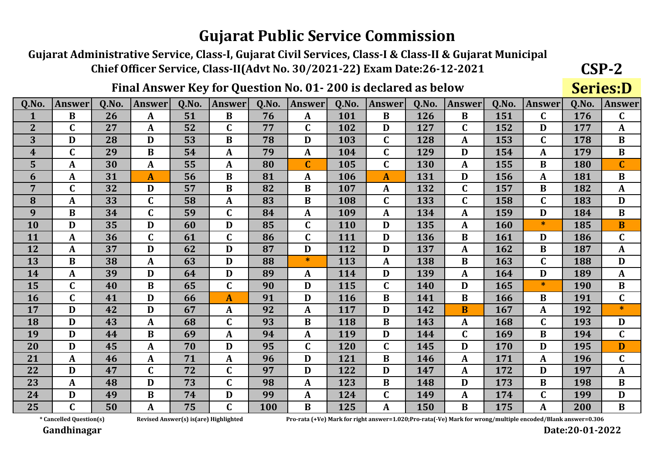Gujarat Administrative Service, Class-I, Gujarat Civil Services, Class-I & Class-II & Gujarat Municipal Chief Officer Service, Class-II(Advt No. 30/2021-22) Exam Date:26-12-2021

## Final Answer Key for Question No. 01-200 is declared as below

| Q.No.          | <b>Answer</b>    | Q.No. | <b>Answer</b> | Q.No. | <b>Answer</b> | Q.No. | <b>Answer</b> | Q.No. | <b>Answer</b>    | Q.No. | <b>Answer</b> | Q.No. | <b>Answer</b> | Q.No.      | <b>Answer</b>    |
|----------------|------------------|-------|---------------|-------|---------------|-------|---------------|-------|------------------|-------|---------------|-------|---------------|------------|------------------|
|                | $\bf{B}$         | 26    | A             | 51    | $\bf{B}$      | 76    | A             | 101   | $\bf{B}$         | 126   | B             | 151   | $\mathbf C$   | 176        | $\mathbf{C}$     |
| $\overline{2}$ | C                | 27    | A             | 52    | $\mathbf C$   | 77    | $\mathbf C$   | 102   | D                | 127   | $\mathbf C$   | 152   | D             | 177        | A                |
| 3              | D                | 28    | D             | 53    | $\bf{B}$      | 78    | D             | 103   | $\mathbf C$      | 128   | A             | 153   | $\mathbf C$   | 178        | B                |
| 4              | $\mathbf C$      | 29    | B             | 54    | A             | 79    | A             | 104   | $\mathbf C$      | 129   | D             | 154   | A             | 179        | $\bf{B}$         |
| 5              | A                | 30    | A             | 55    | A             | 80    | $\mathbf C$   | 105   | $\mathbf C$      | 130   | A             | 155   | $\bf{B}$      | 180        | $\mathbf C$      |
| 6              | $\boldsymbol{A}$ | 31    | A             | 56    | B             | 81    | A             | 106   | $\boldsymbol{A}$ | 131   | D             | 156   | A             | 181        | $\bf{B}$         |
| $\overline{7}$ | $\mathbf C$      | 32    | D             | 57    | B             | 82    | $\bf{B}$      | 107   | $\mathbf{A}$     | 132   | $\mathbf C$   | 157   | $\bf{B}$      | 182        | A                |
| 8              | A                | 33    | $\mathbf C$   | 58    | A             | 83    | B             | 108   | $\mathbf C$      | 133   | $\mathbf C$   | 158   | $\mathbf C$   | 183        | D                |
| 9              | B                | 34    | $\mathbf C$   | 59    | $\mathbf C$   | 84    | A             | 109   | A                | 134   | A             | 159   | D             | 184        | B                |
| 10             | D                | 35    | D             | 60    | D             | 85    | $\mathbf C$   | 110   | D                | 135   | $\mathbf{A}$  | 160   | $\ast$        | 185        | $\bf{B}$         |
| 11             | $\mathbf{A}$     | 36    | $\mathbf C$   | 61    | $\mathbf C$   | 86    | $\mathbf C$   | 111   | D                | 136   | B             | 161   | D             | 186        | $\mathbf C$      |
| 12             | $\mathbf{A}$     | 37    | D             | 62    | D             | 87    | D             | 112   | D                | 137   | A             | 162   | $\bf{B}$      | 187        | $\mathbf{A}$     |
| 13             | B                | 38    | A             | 63    | D             | 88    | $\ast$        | 113   | $\boldsymbol{A}$ | 138   | $\bf{B}$      | 163   | $\mathbf C$   | 188        | D                |
| 14             | $\boldsymbol{A}$ | 39    | D             | 64    | D             | 89    | A             | 114   | D                | 139   | A             | 164   | D             | 189        | A                |
| 15             | $\mathbf C$      | 40    | B             | 65    | $\mathbf C$   | 90    | D             | 115   | $\mathbf C$      | 140   | D             | 165   | $\ast$        | <b>190</b> | B                |
| 16             | $\mathsf{C}$     | 41    | D             | 66    | $\mathbf{A}$  | 91    | D             | 116   | B                | 141   | B             | 166   | B             | 191        | $\mathbf C$      |
| 17             | D                | 42    | D             | 67    | A             | 92    | A             | 117   | D                | 142   | B             | 167   | A             | 192        | $\ast$           |
| 18             | D                | 43    | A             | 68    | $\mathbf C$   | 93    | B             | 118   | $\bf{B}$         | 143   | A             | 168   | $\mathbf C$   | 193        | D                |
| 19             | D                | 44    | B             | 69    | A             | 94    | A             | 119   | D                | 144   | $\mathbf C$   | 169   | $\bf{B}$      | 194        | $\mathbf{C}$     |
| 20             | D                | 45    | A             | 70    | D             | 95    | $\mathbf C$   | 120   | $\mathbf C$      | 145   | D             | 170   | D             | 195        | D                |
| 21             | $\boldsymbol{A}$ | 46    | A             | 71    | A             | 96    | D             | 121   | $\bf{B}$         | 146   | A             | 171   | A             | 196        | $\mathbf C$      |
| 22             | D                | 47    | $\mathbf{C}$  | 72    | $\mathbf C$   | 97    | D             | 122   | D                | 147   | A             | 172   | D             | 197        | $\boldsymbol{A}$ |
| 23             | $\boldsymbol{A}$ | 48    | D             | 73    | $\mathbf C$   | 98    | A             | 123   | $\bf{B}$         | 148   | D             | 173   | $\bf{B}$      | 198        | $\bf{B}$         |
| 24             | D                | 49    | B             | 74    | D             | 99    | A             | 124   | $\mathbf C$      | 149   | A             | 174   | $\mathbf C$   | 199        | D                |
| 25             | $\mathbf C$      | 50    | A             | 75    | $\mathbf C$   | 100   | B             | 125   | A                | 150   | $\bf{B}$      | 175   | A             | 200        | $\bf{B}$         |

\* Cancelled Question(s)

Revised Answer(s) is(are) Highlighted

Pro-rata (+Ve) Mark for right answer=1.020;Pro-rata(-Ve) Mark for wrong/multiple encoded/Blank answer=0.306

Gandhinagar

 $CSP-2$ 

**Series:D**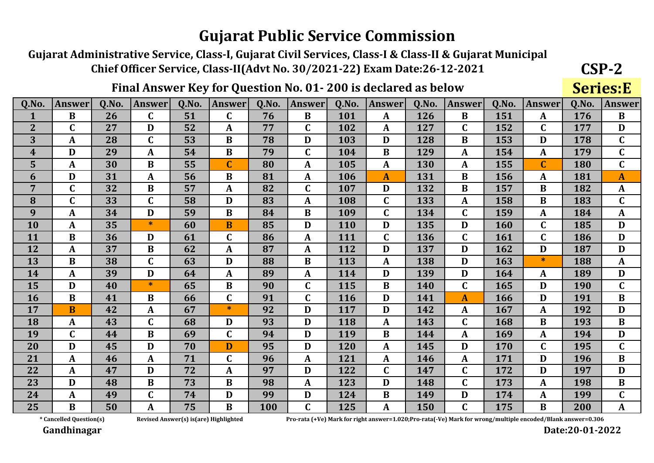Guiarat Administrative Service, Class-I, Guiarat Civil Services, Class-I & Class-II & Guiarat Municipal Chief Officer Service, Class-II(Advt No. 30/2021-22) Exam Date:26-12-2021

## Final Answer Key for Question No. 01-200 is declared as below

 $Q.No.$ Q.No. Answerl  $Q.No.$  $Q.No.$ Q.No.  $Q.No.$ Q.No.  $0.No$ **Answer** Answer Answer **Answer Answer Answer** Answer 51 76 151  $\overline{\mathbf{B}}$ 26  $\mathbf{R}$ 101 126  $\overline{\mathbf{B}}$ 176  $\overline{\mathbf{R}}$  $\mathbf{1}$  $\mathbf{C}$  $\mathbf{C}$  $\mathbf{A}$  $\mathbf{A}$  $\overline{2}$  $\overline{C}$  $\overline{27}$  $\overline{D}$  $\overline{52}$  $77$  $\overline{127}$  $\overline{152}$ 177  $\mathbf{C}$ 102  $\mathbf{C}$  $\mathbf C$ D  $\mathbf{A}$  $\mathbf{A}$ 3 28  $\mathbf C$ 53 78 D 103 128  $\overline{B}$ 153 D 178  $\mathbf{C}$  $\mathbf{A}$  $\bf{B}$ D  $\overline{4}$  $\mathbf{D}$ 29 54  $\mathbf{B}$ 79  $\mathbf C$ 104  $\mathbf{B}$ 129 154 179  $\mathbf{C}$  $\mathbf{A}$  $\mathbf{A}$  $\mathbf{A}$ 5 30 55  $\mathbf C$ 105 155  $\mathbf C$  $\mathbf{A}$ B 80  $\mathbf{A}$  $\mathbf{A}$ 130  $\mathbf{A}$  $\mathbf C$ 180 31  $6\overline{6}$  $\mathbf{D}$  $\mathbf{A}$ 56  $\mathbf{R}$ 81 106 131  $\overline{\mathbf{B}}$ 156 181  $\mathbf{A}$  $\overline{A}$  $\mathbf{A}$  $\overline{A}$  $\overline{C}$  $\overline{32}$  $\overline{57}$  $\overline{R2}$  $132$ 157  $\overline{7}$  $\overline{\mathbf{B}}$  $\mathbf{A}$  $\mathbf{C}$ 107  $\mathbf{D}$  $\overline{\mathbf{B}}$  $\overline{\mathbf{B}}$ 182  $\mathbf{A}$ 33  $\mathbf{C}$ 58 83  $\mathbf{C}$ 133 183 8  $\mathbf C$ D 108 158  $\bf{B}$  $\mathbf{C}$  $\mathbf{A}$  $\mathbf{A}$ 34 59 84 109  $\mathbf{C}$ 134 159 9  $\mathbf{A}$ D  $\bf{B}$  $\bf{B}$  $\mathbf{C}$  $\mathbf{A}$ 184  $\mathbf{A}$ **10** 35  $\ast$ 85 D 135 D 160  $\mathbf C$ 185  $\mathbf{A}$ 60 <sub>B</sub> D 110 D  $\mathbf C$  $\mathbf C$ **11** B 36 D 61  $\mathbf C$ 86  $\mathbf{A}$ 111 136  $\mathbf{C}$ 161 186 D 37 87 112 137 162 12  $\overline{\mathbf{B}}$ 62  $\mathbf{D}$  $\mathbf D$  $\mathbf{D}$ 187 D  $\mathbf{A}$  $\mathbf{A}$  $\mathbf{A}$ 13 38  $\mathbf{C}$ 63 88 113 163  $\ast$  $\mathbf{B}$  $\mathbf{D}$  $\mathbf{B}$  $\mathbf{A}$ 138  $\mathbf D$ 188  $\mathbf{A}$ 14 39 D 64 89 114 139 164 189 D D D  $\mathbf{A}$  $\mathbf{A}$  $\mathbf{A}$  $\mathbf{A}$ 15 65 165  $\mathbf D$ 40  $\ast$  $\mathbf{B}$ 90  $\mathbf{C}$ 115  $\mathbf{B}$ 140  $\mathbf{C}$  $\mathbf{D}$ 190  $\mathbf{C}$ **16** B 41 B 66  $\mathbf C$ 91  $\mathbf{C}$ 116 D 141 166 D 191  $\bf{B}$  $\mathbf{A}$ 17 42  $\mathbf{A}$ 67  $\ast$ 92  $\mathbf{D}$ 117  $\mathbf{D}$ 142 167  $\mathbf{A}$ 192  $\mathbf{D}$  $\overline{\mathbf{R}}$  $\mathbf{A}$ 43 93 18  $\mathbf{C}$ 68 D D 118  $\overline{A}$ 143  $\mathbf{C}$ 168  $\bf{B}$ 193  $\bf{B}$  $\mathbf{A}$ 19  $\mathbf C$ 44  $\overline{B}$ 69  $\mathbf{C}$ 94 119 169 D  $\bf{B}$  $\mathbf{A}$  $\mathbf{A}$ D 144 194 20 45 70 95 120 145 170  $\mathbf{C}$ 195  $\mathbf{C}$  $\mathbf{D}$  $\mathbf{D}$  $\mathbf{D}$  $\mathbf{A}$  $\mathbf{D}$  $\mathbf{D}$ 21  $71$ 121 171  $\boldsymbol{A}$ 46  $\mathbf{A}$  $\mathbf{C}$ 96  $\mathbf{A}$  $\overline{A}$ 146  $\mathbf{A}$ D 196  $\bf{B}$ 22 47 72 97 122  $\mathbf{C}$ 147  $\mathbf{C}$ 172 197  $\mathbf{A}$  $\mathbf{D}$  $\mathbf{A}$  $\mathbf{D}$  $\mathbf{D}$  $\mathbf{D}$ 23 48  $\overline{R}$ 73  $\mathbf{R}$ 98 123  $\mathbf{D}$  $\mathbf{C}$ 173 198 D  $\mathbf{A}$ 148  $\mathbf{A}$  $\bf{R}$  $\mathbf C$ 74 24 49 D 99 D 124  $\bf{B}$ 149 D 174 199  $\mathbf C$  $\mathbf{A}$  $\mathbf{A}$ 25  $50$ 75  $\mathbf{C}$ 125  $\mathbf{C}$ 175  $\mathbf{R}$  $\bf{B}$ 100 150  $\bf{B}$  $\mathbf{A}$  $\mathbf{A}$ 200  $\mathbf{A}$ 

\* Cancelled Question(s)

Revised Answer(s) is(are) Highlighted

Pro-rata (+Ve) Mark for right answer=1.020;Pro-rata(-Ve) Mark for wrong/multiple encoded/Blank answer=0.306

Gandhinagar

Date:20-01-2022

 $CSP-2$ 

**Series:E**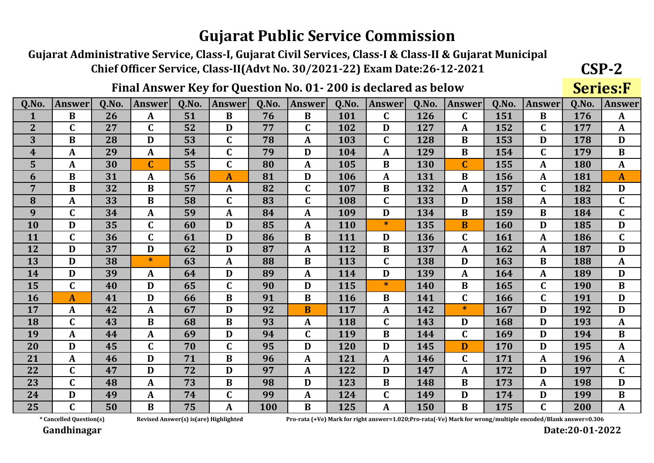Guiarat Administrative Service, Class-I, Guiarat Civil Services, Class-I & Class-II & Guiarat Municipal Chief Officer Service, Class-II(Advt No. 30/2021-22) Exam Date:26-12-2021

## Final Answer Key for Question No. 01-200 is declared as below

 $Q.No.$ Q.No. Answerl  $Q.No.$  $Q.No.$ Q.No.  $Q.No.$ Q.No.  $0.No$ **Answer Answer** Answer **Answer Answer Answer** Answer 51 76 151  $\overline{\mathbf{B}}$ 26  $\mathbf{R}$  $\mathbf{R}$ 101 126 176  $\mathbf{1}$  $\mathbf C$  $\mathbf{C}$  $\mathbf{R}$  $\mathbf{A}$  $\mathbf{A}$  $\overline{2}$  $\overline{C}$  $\overline{27}$  $\overline{C}$  $\overline{52}$  $77$  $\overline{127}$  $\overline{152}$ 177  $\mathbf{D}$  $\mathbf{C}$ 102  $\mathbf{D}$  $\mathbf C$  $\mathbf{A}$  $\mathbf{A}$ 3  $\overline{B}$ 28 53  $\mathbf{C}$ 78 103  $\mathbf{C}$ 128 153 D 178 D  $\mathbf{A}$  $\bf{B}$ D  $\overline{\mathbf{4}}$ 29 54  $\mathbf C$ 79 D 104  $\mathbf{A}$ 129  $\mathbf{B}$ 154  $\mathbf C$ 179  $\bf{B}$  $\mathbf{A}$  $\mathbf{A}$ 5 30  $\mathbf C$ 55  $\mathbf C$ 105  $\mathbf C$ 155  $\mathbf{A}$ 80  $\mathbf{A}$  $\bf{B}$ 130  $\mathbf{A}$ 180  $\mathbf{A}$ 31 6  $\overline{\mathbf{B}}$ 56  $\overline{R1}$  $\mathbf{D}$ 106  $\overline{A}$ 131  $\mathbf{R}$ 156  $\mathbf{A}$ 181  $\mathbf{A}$  $\overline{A}$  $\mathbf{A}$  $\overline{32}$  $\overline{57}$  $\overline{R2}$  $132$ 157  $\overline{7}$  $\overline{\mathbf{B}}$  $\overline{R}$  $\mathbf{C}$ 107  $\mathbf{R}$  $\mathbf{A}$  $\mathbf{C}$ 182 D  $\mathbf{A}$ 33 58 83  $\mathbf{C}$ 133 183  $\mathbf{C}$ 8  $\bf{B}$  $\mathbf C$  $\mathbf{C}$ 108 158  $\mathbf{A}$ D  $\mathbf{A}$ 34 59 84 109 134 159  $\mathbf{C}$  $\mathbf q$  $\mathbf C$  $\mathbf{A}$  $\mathbf{A}$  $\mathbf{A}$ D B  $\bf{B}$ 184 **10** D 35  $\mathbf C$ 85  $\ast$ 135 160 185 60 D 110 B D D A  $\mathbf C$  $\mathbf{C}$ **11** 36 61 D 86  $\bf{B}$ 111 136  $\mathbf{C}$ 161 186  $\mathbf{C}$ D  $\mathbf{A}$ 12 37 62 87 112 137 162  $\mathbf{D}$  $\mathbf D$  $\mathbf{D}$  $\mathbf{R}$ 187 D  $\mathbf{A}$  $\mathbf{A}$  $\mathbf{A}$ 13 38  $\ast$ 63 88 113  $\mathbf{C}$ 163  $\mathbf{D}$  $\mathbf{A}$  $\mathbf{B}$ 138  $\mathbf D$  $\mathbf{B}$ 188  $\mathbf{A}$ 14 D 39 64 89 114 139 164 189 D D D  $\mathbf{A}$  $\mathbf{A}$  $\mathbf{A}$  $\mathbf{A}$ 15 65 165  $\mathbf{C}$ 40  $\mathbf D$  $\mathbf{C}$ 90  $\mathbf{D}$ 115  $\ast$ 140  $\overline{B}$  $\mathbf C$ 190  $\bf{B}$ **16** 41 D 66 B 91 B 116  $\bf{B}$ 141  $\mathbf{C}$ 166  $\mathbf C$ 191 D  $\mathbf{A}$ 17 42  $\mathbf{A}$ 67  $\mathbf{D}$ 92  $\overline{\mathbf{R}}$ 117  $\overline{A}$ 142  $\ast$ 167  $\mathbf{D}$ 192  $\mathbf{D}$  $\mathbf{A}$  $\overline{C}$ 43 93  $\overline{C}$ 18  $\bf{B}$ 68  $\bf{B}$ 118 143 D 168 D 193  $\mathbf{A}$  $\mathbf{A}$ 19 44 69 94  $\mathbf{C}$ 119  $\overline{B}$  $\mathbf{C}$ 169 D D  $\bf{B}$  $\mathbf{A}$  $\mathbf{A}$ 144 194 20 45  $\mathbf{C}$ 70  $\mathbf{C}$ 95 120 145 170 195  $\mathbf D$  $\mathbf{D}$ D  $\mathbf{D}$  $\mathbf{A}$ D 21  $71$  $\bf{B}$ 121 171  $\mathbf{A}$ 46  $\mathbf D$ 96  $\mathbf{A}$  $\overline{A}$ 146  $\mathbf{C}$  $\mathbf{A}$ 196  $\overline{\mathbf{A}}$ 22  $\mathbf{C}$ 47 72 97 122 147 172 197  $\mathbf{C}$  $\mathbf{D}$  $\mathbf{D}$  $\mathbf{A}$  $\mathbf{D}$  $\mathbf{A}$  $\mathbf{D}$ 23  $\mathbf C$ 48 73 98  $\mathbf{D}$ 123  $\mathbf{R}$  $\overline{\mathbf{B}}$ 173 198  $\mathbf{D}$  $\mathbf{A}$ R 148  $\mathbf{A}$ 74 99 24 D 49  $\mathbf{C}$ 124  $\mathbf C$ 149 D 174 D 199  $\bf{B}$  $\mathbf{A}$  $\mathbf{A}$ 25  $\mathbf{C}$ 50 75 125 175  $\mathbf{C}$ B 100  $\bf{B}$ 150  $\mathbf{R}$ 200  $\mathbf{A}$  $\mathbf{A}$  $\mathbf{A}$ 

\* Cancelled Question(s)

Revised Answer(s) is(are) Highlighted

Pro-rata (+Ve) Mark for right answer=1.020;Pro-rata(-Ve) Mark for wrong/multiple encoded/Blank answer=0.306

Gandhinagar

 $CSP-2$ 

**Series:F**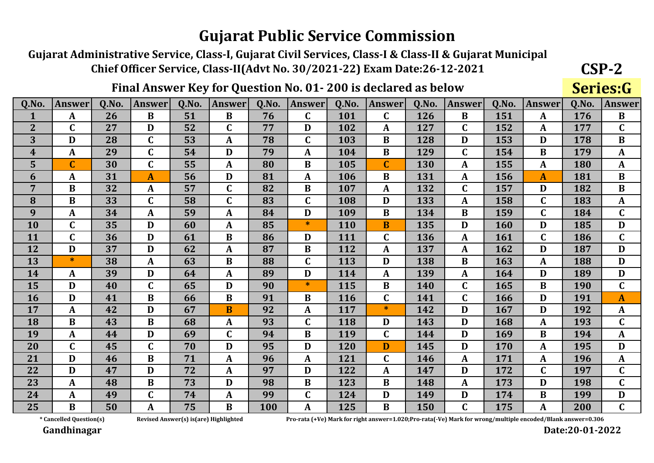Gujarat Administrative Service, Class-I, Gujarat Civil Services, Class-I & Class-II & Gujarat Municipal Chief Officer Service, Class-II(Advt No. 30/2021-22) Exam Date:26-12-2021

## Final Answer Key for Question No. 01-200 is declared as below

| Q.No.          | <b>Answer</b>  | 0.No. | <b>Answer</b> | 0.No. | <b>Answer</b> | 0.No. | <b>Answer</b> | 0.No. | <b>Answer</b>    | 0.No. | <b>Answer</b> | Q.No. | <b>Answer</b> | Q.No. | <b>Answer</b> |
|----------------|----------------|-------|---------------|-------|---------------|-------|---------------|-------|------------------|-------|---------------|-------|---------------|-------|---------------|
| 1              | $\mathbf{A}$   | 26    | B             | 51    | $\bf{B}$      | 76    | $\mathbf C$   | 101   | $\mathbf C$      | 126   | B             | 151   | A             | 176   | $\bf{B}$      |
| $\overline{2}$ | $\mathbf C$    | 27    | D             | 52    | $\mathbf C$   | 77    | D             | 102   | A                | 127   | $\mathbf C$   | 152   | A             | 177   | $\mathbf C$   |
| 3              | D              | 28    | C             | 53    | $\mathbf A$   | 78    | $\mathbf C$   | 103   | B                | 128   | D             | 153   | D             | 178   | $\bf{B}$      |
| 4              | A              | 29    | $\mathbf C$   | 54    | D             | 79    | A             | 104   | B                | 129   | $\mathbf C$   | 154   | B             | 179   | A             |
| 5              | $\overline{C}$ | 30    | $\mathbf C$   | 55    | $\mathbf A$   | 80    | B             | 105   | $\mathbf C$      | 130   | A             | 155   | A             | 180   | $\mathbf{A}$  |
| 6              | A              | 31    | A             | 56    | D             | 81    | A             | 106   | B                | 131   | A             | 156   | A             | 181   | B             |
| 7              | $\bf{B}$       | 32    | A             | 57    | $\mathbf C$   | 82    | $\bf{B}$      | 107   | $\mathbf A$      | 132   | $\mathbf C$   | 157   | D             | 182   | $\bf{B}$      |
| 8              | B              | 33    | $\mathbf C$   | 58    | $\mathbf C$   | 83    | $\mathbf C$   | 108   | D                | 133   | A             | 158   | $\mathbf C$   | 183   | $\mathbf{A}$  |
| 9              | A              | 34    | A             | 59    | $\mathbf{A}$  | 84    | D             | 109   | B                | 134   | B             | 159   | $\mathbf C$   | 184   | $\mathbf C$   |
| 10             | $\mathbf C$    | 35    | D             | 60    | $\mathbf{A}$  | 85    | $*$           | 110   | <b>B</b>         | 135   | D             | 160   | D             | 185   | D             |
| 11             | $\mathbf C$    | 36    | D             | 61    | B             | 86    | D             | 111   | C                | 136   | A             | 161   | $\mathbf C$   | 186   | $\mathbf C$   |
| 12             | D              | 37    | D             | 62    | A             | 87    | $\bf{B}$      | 112   | $\mathbf{A}$     | 137   | A             | 162   | D             | 187   | D             |
| 13             | $\ast$         | 38    | A             | 63    | B             | 88    | $\mathbf C$   | 113   | D                | 138   | B             | 163   | A             | 188   | D             |
| 14             | A              | 39    | D             | 64    | $\mathbf{A}$  | 89    | D             | 114   | $\mathbf A$      | 139   | A             | 164   | D             | 189   | D             |
| 15             | D              | 40    | $\mathbf C$   | 65    | D             | 90    | $*$           | 115   | $\bf{B}$         | 140   | $\mathbf C$   | 165   | B             | 190   | $\mathbf C$   |
| <b>16</b>      | D              | 41    | $\bf{B}$      | 66    | B             | 91    | B             | 116   | $\mathbf C$      | 141   | $\mathbf C$   | 166   | D             | 191   | A             |
| 17             | A              | 42    | D             | 67    | B             | 92    | A             | 117   | $\ast$           | 142   | D             | 167   | D             | 192   | $\mathbf{A}$  |
| <b>18</b>      | B              | 43    | B             | 68    | $\mathbf A$   | 93    | C             | 118   | D                | 143   | D             | 168   | A             | 193   | $\mathbf C$   |
| 19             | A              | 44    | D             | 69    | $\mathbf C$   | 94    | $\bf{B}$      | 119   | $\mathbf C$      | 144   | D             | 169   | $\bf{B}$      | 194   | $\mathbf{A}$  |
| 20             | C              | 45    | $\mathbf C$   | 70    | D             | 95    | D             | 120   | D                | 145   | D             | 170   | A             | 195   | D             |
| 21             | D              | 46    | B             | 71    | A             | 96    | A             | 121   | $\mathbf C$      | 146   | A             | 171   | A             | 196   | $\mathbf{A}$  |
| 22             | D              | 47    | D             | 72    | A             | 97    | D             | 122   | $\boldsymbol{A}$ | 147   | D             | 172   | $\mathbf C$   | 197   | $\mathbf C$   |
| 23             | A              | 48    | $\bf{B}$      | 73    | D             | 98    | B             | 123   | B                | 148   | A             | 173   | D             | 198   | $\mathbf C$   |
| 24             | A              | 49    | $\mathbf C$   | 74    | A             | 99    | $\mathbf C$   | 124   | D                | 149   | D             | 174   | B             | 199   | D             |
| 25             | B              | 50    | A             | 75    | B             | 100   | A             | 125   | B                | 150   | $\mathbf C$   | 175   | A             | 200   | $\mathbf C$   |

\* Cancelled Question(s)

Revised Answer(s) is(are) Highlighted

Pro-rata (+Ve) Mark for right answer=1.020;Pro-rata(-Ve) Mark for wrong/multiple encoded/Blank answer=0.306

Gandhinagar

 $CSP-2$ 

**Series:G**